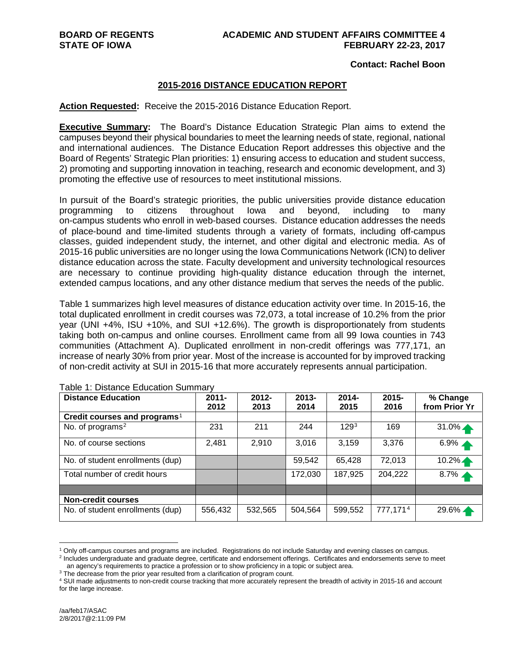### **Contact: Rachel Boon**

### **2015-2016 DISTANCE EDUCATION REPORT**

### **Action Requested:** Receive the 2015-2016 Distance Education Report.

**Executive Summary:** The Board's Distance Education Strategic Plan aims to extend the campuses beyond their physical boundaries to meet the learning needs of state, regional, national and international audiences. The Distance Education Report addresses this objective and the Board of Regents' Strategic Plan priorities: 1) ensuring access to education and student success, 2) promoting and supporting innovation in teaching, research and economic development, and 3) promoting the effective use of resources to meet institutional missions.

In pursuit of the Board's strategic priorities, the public universities provide distance education programming to citizens throughout Iowa and beyond, including to many on-campus students who enroll in web-based courses. Distance education addresses the needs of place-bound and time-limited students through a variety of formats, including off-campus classes, guided independent study, the internet, and other digital and electronic media. As of 2015-16 public universities are no longer using the Iowa Communications Network (ICN) to deliver distance education across the state. Faculty development and university technological resources are necessary to continue providing high-quality distance education through the internet, extended campus locations, and any other distance medium that serves the needs of the public.

Table 1 summarizes high level measures of distance education activity over time. In 2015-16, the total duplicated enrollment in credit courses was 72,073, a total increase of 10.2% from the prior year (UNI +4%, ISU +10%, and SUI +12.6%). The growth is disproportionately from students taking both on-campus and online courses. Enrollment came from all 99 Iowa counties in 743 communities (Attachment A). Duplicated enrollment in non-credit offerings was 777,171, an increase of nearly 30% from prior year. Most of the increase is accounted for by improved tracking of non-credit activity at SUI in 2015-16 that more accurately represents annual participation.

| <b>Distance Education</b>                | $2011 -$<br>2012 | $2012 -$<br>2013 | $2013 -$<br>2014 | $2014 -$<br>2015 | $2015 -$<br>2016 | % Change<br>from Prior Yr |
|------------------------------------------|------------------|------------------|------------------|------------------|------------------|---------------------------|
| Credit courses and programs <sup>1</sup> |                  |                  |                  |                  |                  |                           |
| No. of programs <sup>2</sup>             | 231              | 211              | 244              | 129 <sup>3</sup> | 169              | $31.0\%$                  |
| No. of course sections                   | 2,481            | 2,910            | 3,016            | 3,159            | 3,376            | $6.9\%$ $\triangle$       |
| No. of student enrollments (dup)         |                  |                  | 59,542           | 65,428           | 72,013           | $10.2\%$                  |
| Total number of credit hours             |                  |                  | 172,030          | 187,925          | 204,222          | $8.7\%$ $\triangle$       |
|                                          |                  |                  |                  |                  |                  |                           |
| <b>Non-credit courses</b>                |                  |                  |                  |                  |                  |                           |
| No. of student enrollments (dup)         | 556,432          | 532,565          | 504,564          | 599,552          | 777,1714         | $29.6\%$                  |

Table 1: Distance Education Summary

<span id="page-0-0"></span> <sup>1</sup> Only off-campus courses and programs are included. Registrations do not include Saturday and evening classes on campus.

<span id="page-0-1"></span><sup>2</sup> Includes undergraduate and graduate degree, certificate and endorsement offerings. Certificates and endorsements serve to meet an agency's requirements to practice a profession or to show proficiency in a topic or subject area.

<span id="page-0-2"></span><sup>&</sup>lt;sup>3</sup> The decrease from the prior year resulted from a clarification of program count.

<span id="page-0-3"></span><sup>4</sup> SUI made adjustments to non-credit course tracking that more accurately represent the breadth of activity in 2015-16 and account for the large increase.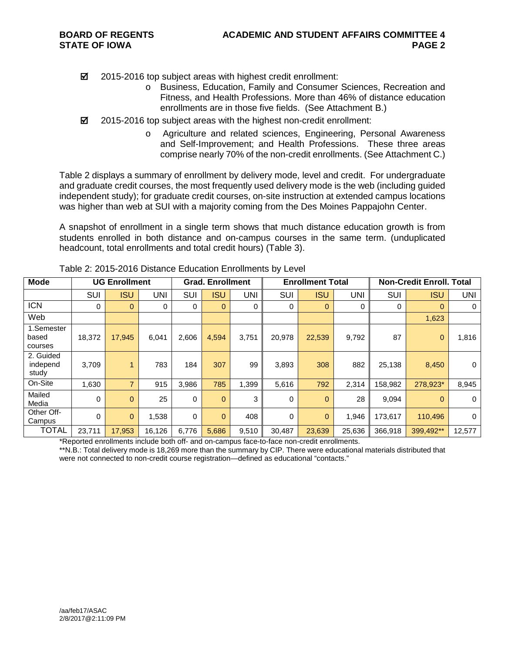■ 2015-2016 top subject areas with highest credit enrollment:

- o Business, Education, Family and Consumer Sciences, Recreation and Fitness, and Health Professions. More than 46% of distance education enrollments are in those five fields. (See Attachment B.)
- 2015-2016 top subject areas with the highest non-credit enrollment:
	- o Agriculture and related sciences, Engineering, Personal Awareness and Self-Improvement; and Health Professions. These three areas comprise nearly 70% of the non-credit enrollments. (See Attachment C.)

Table 2 displays a summary of enrollment by delivery mode, level and credit. For undergraduate and graduate credit courses, the most frequently used delivery mode is the web (including guided independent study); for graduate credit courses, on-site instruction at extended campus locations was higher than web at SUI with a majority coming from the Des Moines Pappajohn Center.

A snapshot of enrollment in a single term shows that much distance education growth is from students enrolled in both distance and on-campus courses in the same term. (unduplicated headcount, total enrollments and total credit hours) (Table 3).

| <b>Mode</b>                    |        | <b>UG Enrollment</b> |        |       | <b>Grad. Enrollment</b> |       |             | <b>Enrollment Total</b> |        | <b>Non-Credit Enroll. Total</b> |              |             |  |
|--------------------------------|--------|----------------------|--------|-------|-------------------------|-------|-------------|-------------------------|--------|---------------------------------|--------------|-------------|--|
|                                | SUI    | <b>ISU</b>           | UNI    | SUI   | <b>ISU</b>              | UNI   | SUI         | <b>ISU</b>              | UNI    | <b>SUI</b>                      | <b>ISU</b>   | <b>UNI</b>  |  |
| <b>ICN</b>                     | 0      | $\Omega$             | 0      | 0     | $\mathbf 0$             | 0     | 0           | $\mathbf 0$             | 0      | 0                               | $\Omega$     | 0           |  |
| Web                            |        |                      |        |       |                         |       |             |                         |        |                                 | 1,623        |             |  |
| 1.Semester<br>based<br>courses | 18.372 | 17.945               | 6,041  | 2,606 | 4,594                   | 3.751 | 20.978      | 22,539                  | 9,792  | 87                              | $\mathbf{0}$ | 1,816       |  |
| 2. Guided<br>independ<br>study | 3,709  | 4                    | 783    | 184   | 307                     | 99    | 3,893       | 308                     | 882    | 25,138                          | 8,450        | $\mathbf 0$ |  |
| On-Site                        | 1,630  | $\overline{ }$       | 915    | 3,986 | 785                     | 1,399 | 5,616       | 792                     | 2,314  | 158.982                         | 278,923*     | 8,945       |  |
| Mailed<br>Media                | 0      | $\Omega$             | 25     | 0     | $\mathbf{0}$            | 3     | 0           | $\mathbf 0$             | 28     | 9,094                           | $\Omega$     | $\mathbf 0$ |  |
| Other Off-<br>Campus           | 0      | $\Omega$             | 1,538  | 0     | $\overline{0}$          | 408   | $\mathbf 0$ | $\overline{0}$          | 1,946  | 173.617                         | 110.496      | $\mathbf 0$ |  |
| <b>TOTAL</b>                   | 23,711 | 17,953               | 16,126 | 6,776 | 5,686                   | 9,510 | 30,487      | 23,639                  | 25,636 | 366,918                         | 399,492**    | 12,577      |  |

| Table 2: 2015-2016 Distance Education Enrollments by Level |  |  |  |
|------------------------------------------------------------|--|--|--|
|------------------------------------------------------------|--|--|--|

\*Reported enrollments include both off- and on-campus face-to-face non-credit enrollments.

\*\*N.B.: Total delivery mode is 18,269 more than the summary by CIP. There were educational materials distributed that were not connected to non-credit course registration—defined as educational "contacts."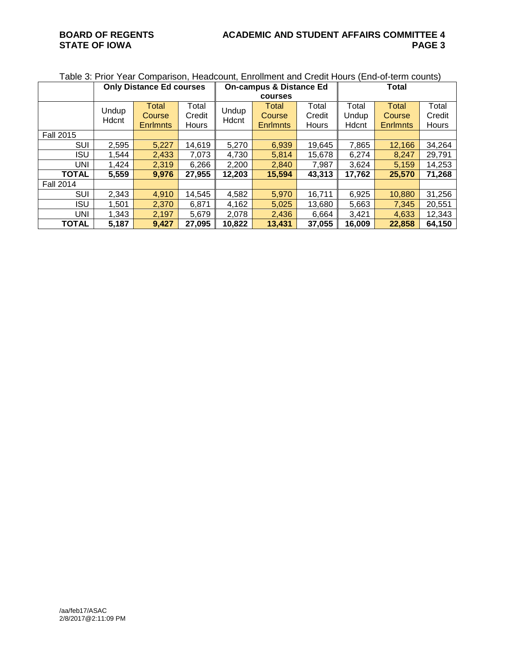# **BOARD OF REGENTS ACADEMIC AND STUDENT AFFAIRS COMMITTEE 4**

Table 3: Prior Year Comparison, Headcount, Enrollment and Credit Hours (End-of-term counts)

|                  |                | <b>Only Distance Ed courses</b>    |                                 |                | <b>On-campus &amp; Distance Ed</b> |                          | <b>Total</b>            |                                    |                          |  |
|------------------|----------------|------------------------------------|---------------------------------|----------------|------------------------------------|--------------------------|-------------------------|------------------------------------|--------------------------|--|
|                  |                |                                    |                                 |                | courses                            |                          |                         |                                    |                          |  |
|                  | Undup<br>Hdcnt | Total<br>Course<br><b>Enrimnts</b> | Total<br>Credit<br><b>Hours</b> | Undup<br>Hdcnt | Total<br>Course<br><b>Enrimnts</b> | Total<br>Credit<br>Hours | Total<br>Undup<br>Hdcnt | Total<br>Course<br><b>Enrimnts</b> | Total<br>Credit<br>Hours |  |
| <b>Fall 2015</b> |                |                                    |                                 |                |                                    |                          |                         |                                    |                          |  |
| SUI              | 2,595          | 5,227                              | 14,619                          | 5,270          | 6,939                              | 19,645                   | 7,865                   | 12,166                             | 34,264                   |  |
| <b>ISU</b>       | 1,544          | 2,433                              | 7,073                           | 4,730          | 5,814                              | 15,678                   | 6,274                   | 8,247                              | 29,791                   |  |
| UNI              | 1,424          | 2,319                              | 6,266                           | 2,200          | 2,840                              | 7,987                    | 3,624                   | 5,159                              | 14,253                   |  |
| <b>TOTAL</b>     | 5,559          | 9,976                              | 27,955                          | 12,203         | 15,594                             | 43,313                   | 17,762                  | 25,570                             | 71,268                   |  |
| <b>Fall 2014</b> |                |                                    |                                 |                |                                    |                          |                         |                                    |                          |  |
| SUI              | 2,343          | 4,910                              | 14,545                          | 4,582          | 5,970                              | 16,711                   | 6,925                   | 10,880                             | 31,256                   |  |
| <b>ISU</b>       | 1,501          | 2,370                              | 6,871                           | 4,162          | 5,025                              | 13,680                   | 5,663                   | 7,345                              | 20,551                   |  |
| UNI              | 1,343          | 2,197                              | 5,679                           | 2,078          | 2,436                              | 6,664                    | 3,421                   | 4,633                              | 12,343                   |  |
| <b>TOTAL</b>     | 5,187          | 9,427                              | 27,095                          | 10,822         | 13,431                             | 37,055                   | 16,009                  | 22,858                             | 64,150                   |  |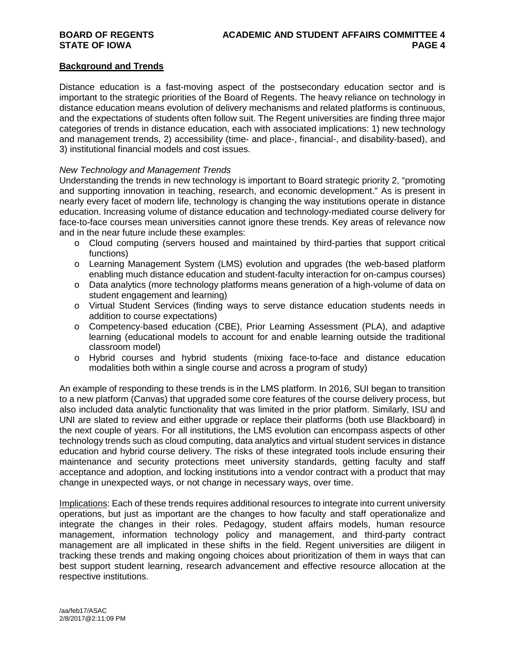### **Background and Trends**

Distance education is a fast-moving aspect of the postsecondary education sector and is important to the strategic priorities of the Board of Regents. The heavy reliance on technology in distance education means evolution of delivery mechanisms and related platforms is continuous, and the expectations of students often follow suit. The Regent universities are finding three major categories of trends in distance education, each with associated implications: 1) new technology and management trends, 2) accessibility (time- and place-, financial-, and disability-based), and 3) institutional financial models and cost issues.

### *New Technology and Management Trends*

Understanding the trends in new technology is important to Board strategic priority 2, "promoting and supporting innovation in teaching, research, and economic development." As is present in nearly every facet of modern life, technology is changing the way institutions operate in distance education. Increasing volume of distance education and technology-mediated course delivery for face-to-face courses mean universities cannot ignore these trends. Key areas of relevance now and in the near future include these examples:

- o Cloud computing (servers housed and maintained by third-parties that support critical functions)
- o Learning Management System (LMS) evolution and upgrades (the web-based platform enabling much distance education and student-faculty interaction for on-campus courses)
- o Data analytics (more technology platforms means generation of a high-volume of data on student engagement and learning)
- o Virtual Student Services (finding ways to serve distance education students needs in addition to course expectations)
- o Competency-based education (CBE), Prior Learning Assessment (PLA), and adaptive learning (educational models to account for and enable learning outside the traditional classroom model)
- o Hybrid courses and hybrid students (mixing face-to-face and distance education modalities both within a single course and across a program of study)

An example of responding to these trends is in the LMS platform. In 2016, SUI began to transition to a new platform (Canvas) that upgraded some core features of the course delivery process, but also included data analytic functionality that was limited in the prior platform. Similarly, ISU and UNI are slated to review and either upgrade or replace their platforms (both use Blackboard) in the next couple of years. For all institutions, the LMS evolution can encompass aspects of other technology trends such as cloud computing, data analytics and virtual student services in distance education and hybrid course delivery. The risks of these integrated tools include ensuring their maintenance and security protections meet university standards, getting faculty and staff acceptance and adoption, and locking institutions into a vendor contract with a product that may change in unexpected ways, or not change in necessary ways, over time.

Implications: Each of these trends requires additional resources to integrate into current university operations, but just as important are the changes to how faculty and staff operationalize and integrate the changes in their roles. Pedagogy, student affairs models, human resource management, information technology policy and management, and third-party contract management are all implicated in these shifts in the field. Regent universities are diligent in tracking these trends and making ongoing choices about prioritization of them in ways that can best support student learning, research advancement and effective resource allocation at the respective institutions.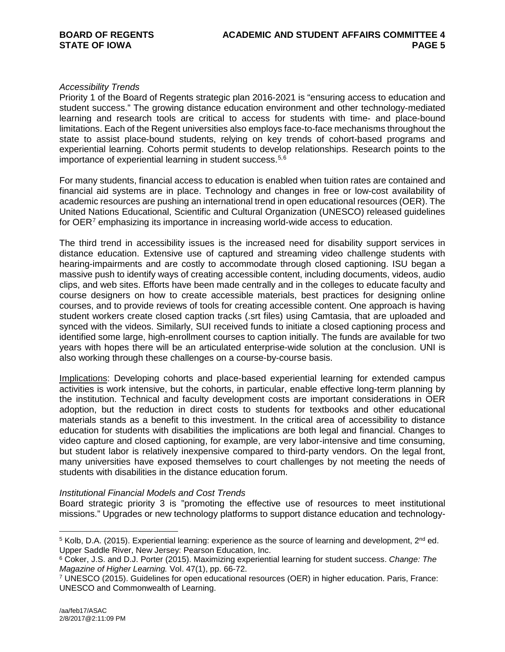### *Accessibility Trends*

Priority 1 of the Board of Regents strategic plan 2016-2021 is "ensuring access to education and student success." The growing distance education environment and other technology-mediated learning and research tools are critical to access for students with time- and place-bound limitations. Each of the Regent universities also employs face-to-face mechanisms throughout the state to assist place-bound students, relying on key trends of cohort-based programs and experiential learning. Cohorts permit students to develop relationships. Research points to the importance of experiential learning in student success.<sup>[5](#page-4-0),[6](#page-4-1)</sup>

For many students, financial access to education is enabled when tuition rates are contained and financial aid systems are in place. Technology and changes in free or low-cost availability of academic resources are pushing an international trend in open educational resources (OER). The United Nations Educational, Scientific and Cultural Organization (UNESCO) released guidelines for OER[7](#page-4-2) emphasizing its importance in increasing world-wide access to education.

The third trend in accessibility issues is the increased need for disability support services in distance education. Extensive use of captured and streaming video challenge students with hearing-impairments and are costly to accommodate through closed captioning. ISU began a massive push to identify ways of creating accessible content, including documents, videos, audio clips, and web sites. Efforts have been made centrally and in the colleges to educate faculty and course designers on how to create accessible materials, best practices for designing online courses, and to provide reviews of tools for creating accessible content. One approach is having student workers create closed caption tracks (.srt files) using Camtasia, that are uploaded and synced with the videos. Similarly, SUI received funds to initiate a closed captioning process and identified some large, high-enrollment courses to caption initially. The funds are available for two years with hopes there will be an articulated enterprise-wide solution at the conclusion. UNI is also working through these challenges on a course-by-course basis.

Implications: Developing cohorts and place-based experiential learning for extended campus activities is work intensive, but the cohorts, in particular, enable effective long-term planning by the institution. Technical and faculty development costs are important considerations in OER adoption, but the reduction in direct costs to students for textbooks and other educational materials stands as a benefit to this investment. In the critical area of accessibility to distance education for students with disabilities the implications are both legal and financial. Changes to video capture and closed captioning, for example, are very labor-intensive and time consuming, but student labor is relatively inexpensive compared to third-party vendors. On the legal front, many universities have exposed themselves to court challenges by not meeting the needs of students with disabilities in the distance education forum.

### *Institutional Financial Models and Cost Trends*

Board strategic priority 3 is "promoting the effective use of resources to meet institutional missions." Upgrades or new technology platforms to support distance education and technology-

<span id="page-4-0"></span> $5$  Kolb, D.A. (2015). Experiential learning: experience as the source of learning and development,  $2^{nd}$  ed. Upper Saddle River, New Jersey: Pearson Education, Inc.

<span id="page-4-1"></span><sup>6</sup> Coker, J.S. and D.J. Porter (2015). Maximizing experiential learning for student success. *Change: The Magazine of Higher Learning.* Vol. 47(1), pp. 66-72.

<span id="page-4-2"></span><sup>7</sup> UNESCO (2015). Guidelines for open educational resources (OER) in higher education. Paris, France: UNESCO and Commonwealth of Learning.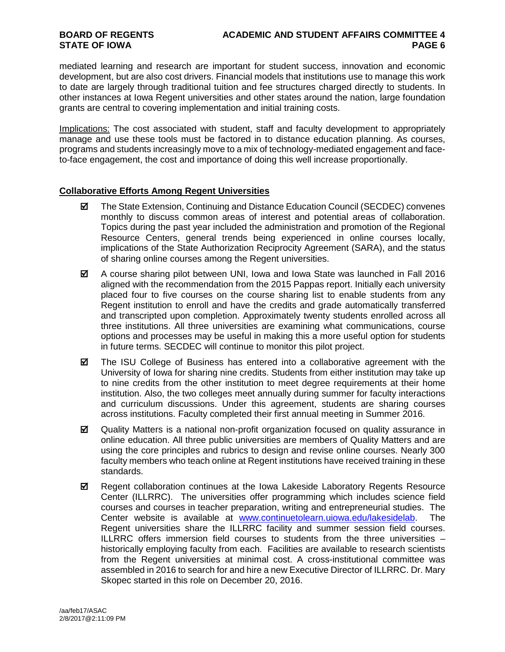mediated learning and research are important for student success, innovation and economic development, but are also cost drivers. Financial models that institutions use to manage this work to date are largely through traditional tuition and fee structures charged directly to students. In other instances at Iowa Regent universities and other states around the nation, large foundation grants are central to covering implementation and initial training costs.

Implications: The cost associated with student, staff and faculty development to appropriately manage and use these tools must be factored in to distance education planning. As courses, programs and students increasingly move to a mix of technology-mediated engagement and faceto-face engagement, the cost and importance of doing this well increase proportionally.

### **Collaborative Efforts Among Regent Universities**

- $\boxtimes$  The State Extension, Continuing and Distance Education Council (SECDEC) convenes monthly to discuss common areas of interest and potential areas of collaboration. Topics during the past year included the administration and promotion of the Regional Resource Centers, general trends being experienced in online courses locally, implications of the State Authorization Reciprocity Agreement (SARA), and the status of sharing online courses among the Regent universities.
- A course sharing pilot between UNI, Iowa and Iowa State was launched in Fall 2016 aligned with the recommendation from the 2015 Pappas report. Initially each university placed four to five courses on the course sharing list to enable students from any Regent institution to enroll and have the credits and grade automatically transferred and transcripted upon completion. Approximately twenty students enrolled across all three institutions. All three universities are examining what communications, course options and processes may be useful in making this a more useful option for students in future terms. SECDEC will continue to monitor this pilot project.
- The ISU College of Business has entered into a collaborative agreement with the University of Iowa for sharing nine credits. Students from either institution may take up to nine credits from the other institution to meet degree requirements at their home institution. Also, the two colleges meet annually during summer for faculty interactions and curriculum discussions. Under this agreement, students are sharing courses across institutions. Faculty completed their first annual meeting in Summer 2016.
- $\boxtimes$  Quality Matters is a national non-profit organization focused on quality assurance in online education. All three public universities are members of Quality Matters and are using the core principles and rubrics to design and revise online courses. Nearly 300 faculty members who teach online at Regent institutions have received training in these standards.
- $✓$  Regent collaboration continues at the Iowa Lakeside Laboratory Regents Resource Center (ILLRRC). The universities offer programming which includes science field courses and courses in teacher preparation, writing and entrepreneurial studies. The Center website is available at [www.continuetolearn.uiowa.edu/lakesidelab.](http://www.continuetolearn.uiowa.edu/lakesidelab) The Regent universities share the ILLRRC facility and summer session field courses. ILLRRC offers immersion field courses to students from the three universities – historically employing faculty from each. Facilities are available to research scientists from the Regent universities at minimal cost. A cross-institutional committee was assembled in 2016 to search for and hire a new Executive Director of ILLRRC. Dr. Mary Skopec started in this role on December 20, 2016.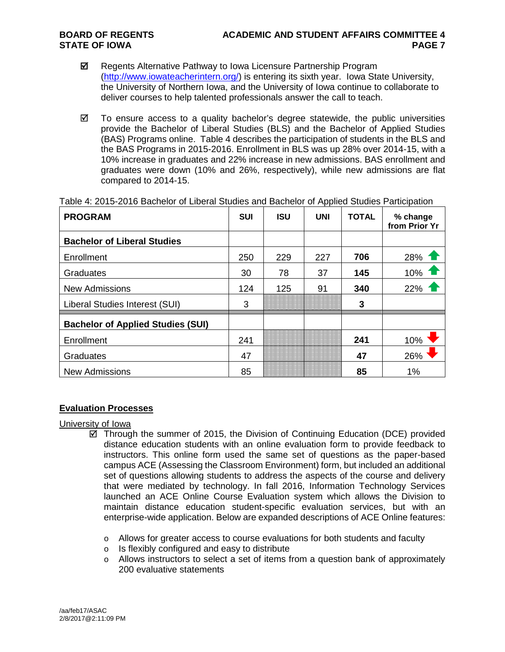- $\boxtimes$  Regents Alternative Pathway to Iowa Licensure Partnership Program [\(http://www.iowateacherintern.org/\)](http://www.iowateacherintern.org/) is entering its sixth year. Iowa State University, the University of Northern Iowa, and the University of Iowa continue to collaborate to deliver courses to help talented professionals answer the call to teach.
- $\boxtimes$  To ensure access to a quality bachelor's degree statewide, the public universities provide the Bachelor of Liberal Studies (BLS) and the Bachelor of Applied Studies (BAS) Programs online. Table 4 describes the participation of students in the BLS and the BAS Programs in 2015-2016. Enrollment in BLS was up 28% over 2014-15, with a 10% increase in graduates and 22% increase in new admissions. BAS enrollment and graduates were down (10% and 26%, respectively), while new admissions are flat compared to 2014-15.

| <b>PROGRAM</b>                           | <b>SUI</b> | <b>ISU</b> | <b>UNI</b> | <b>TOTAL</b> | % change<br>from Prior Yr |
|------------------------------------------|------------|------------|------------|--------------|---------------------------|
| <b>Bachelor of Liberal Studies</b>       |            |            |            |              |                           |
| Enrollment                               | 250        | 229        | 227        | 706          | 28% 1                     |
| Graduates                                | 30         | 78         | 37         | 145          | 10%                       |
| <b>New Admissions</b>                    | 124        | 125        | 91         | 340          | 22%                       |
| Liberal Studies Interest (SUI)           | 3          |            |            | 3            |                           |
| <b>Bachelor of Applied Studies (SUI)</b> |            |            |            |              |                           |
| Enrollment                               | 241        |            |            | 241          | 10%                       |
| Graduates                                | 47         |            |            | 47           | 26%                       |
| <b>New Admissions</b>                    | 85         |            |            | 85           | 1%                        |

Table 4: 2015-2016 Bachelor of Liberal Studies and Bachelor of Applied Studies Participation

### **Evaluation Processes**

### University of Iowa

- $\boxtimes$  Through the summer of 2015, the Division of Continuing Education (DCE) provided distance education students with an online evaluation form to provide feedback to instructors. This online form used the same set of questions as the paper-based campus ACE (Assessing the Classroom Environment) form, but included an additional set of questions allowing students to address the aspects of the course and delivery that were mediated by technology. In fall 2016, Information Technology Services launched an ACE Online Course Evaluation system which allows the Division to maintain distance education student-specific evaluation services, but with an enterprise-wide application. Below are expanded descriptions of ACE Online features:
	- $\circ$  Allows for greater access to course evaluations for both students and faculty
	- o Is flexibly configured and easy to distribute
	- $\circ$  Allows instructors to select a set of items from a question bank of approximately 200 evaluative statements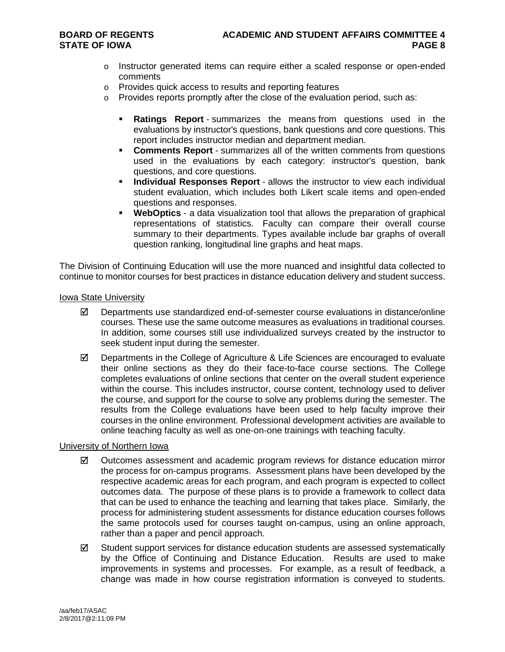- o Instructor generated items can require either a scaled response or open-ended comments
- o Provides quick access to results and reporting features
- $\circ$  Provides reports promptly after the close of the evaluation period, such as:
	- **Ratings Report** summarizes the means from questions used in the evaluations by instructor's questions, bank questions and core questions. This report includes instructor median and department median.
	- **Comments Report** summarizes all of the written comments from questions used in the evaluations by each category: instructor's question, bank questions, and core questions.
	- **Individual Responses Report** allows the instructor to view each individual student evaluation, which includes both Likert scale items and open-ended questions and responses.
	- **WebOptics** a data visualization tool that allows the preparation of graphical representations of statistics. Faculty can compare their overall course summary to their departments. Types available include bar graphs of overall question ranking, longitudinal line graphs and heat maps.

The Division of Continuing Education will use the more nuanced and insightful data collected to continue to monitor courses for best practices in distance education delivery and student success.

### Iowa State University

- $\boxtimes$  Departments use standardized end-of-semester course evaluations in distance/online courses. These use the same outcome measures as evaluations in traditional courses. In addition, some courses still use individualized surveys created by the instructor to seek student input during the semester.
- $\boxtimes$  Departments in the College of Agriculture & Life Sciences are encouraged to evaluate their online sections as they do their face-to-face course sections. The College completes evaluations of online sections that center on the overall student experience within the course. This includes instructor, course content, technology used to deliver the course, and support for the course to solve any problems during the semester. The results from the College evaluations have been used to help faculty improve their courses in the online environment. Professional development activities are available to online teaching faculty as well as one-on-one trainings with teaching faculty.

### University of Northern Iowa

- $\boxtimes$  Outcomes assessment and academic program reviews for distance education mirror the process for on-campus programs. Assessment plans have been developed by the respective academic areas for each program, and each program is expected to collect outcomes data. The purpose of these plans is to provide a framework to collect data that can be used to enhance the teaching and learning that takes place. Similarly, the process for administering student assessments for distance education courses follows the same protocols used for courses taught on-campus, using an online approach, rather than a paper and pencil approach.
- $\boxtimes$  Student support services for distance education students are assessed systematically by the Office of Continuing and Distance Education. Results are used to make improvements in systems and processes. For example, as a result of feedback, a change was made in how course registration information is conveyed to students.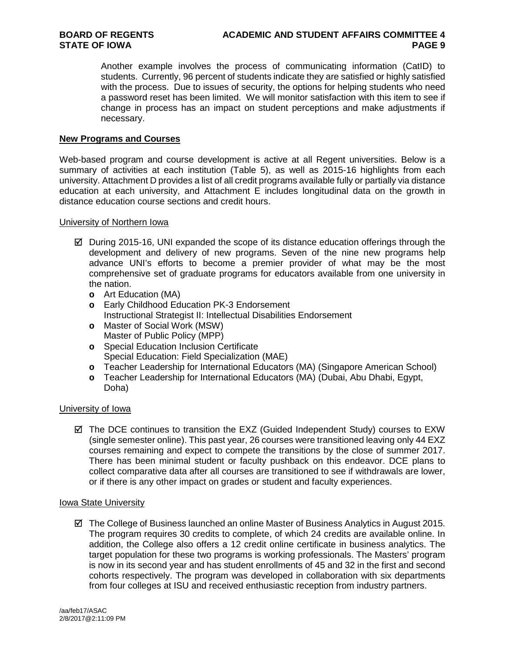Another example involves the process of communicating information (CatID) to students. Currently, 96 percent of students indicate they are satisfied or highly satisfied with the process. Due to issues of security, the options for helping students who need a password reset has been limited. We will monitor satisfaction with this item to see if change in process has an impact on student perceptions and make adjustments if necessary.

### **New Programs and Courses**

Web-based program and course development is active at all Regent universities. Below is a summary of activities at each institution (Table 5), as well as 2015-16 highlights from each university. Attachment D provides a list of all credit programs available fully or partially via distance education at each university, and Attachment E includes longitudinal data on the growth in distance education course sections and credit hours.

University of Northern Iowa

- $\boxtimes$  During 2015-16, UNI expanded the scope of its distance education offerings through the development and delivery of new programs. Seven of the nine new programs help advance UNI's efforts to become a premier provider of what may be the most comprehensive set of graduate programs for educators available from one university in the nation.
	- **o** Art Education (MA)
	- **o** Early Childhood Education PK-3 Endorsement Instructional Strategist II: Intellectual Disabilities Endorsement
	- **o** Master of Social Work (MSW) Master of Public Policy (MPP)
	- **o** Special Education Inclusion Certificate Special Education: Field Specialization (MAE)
	- **o** Teacher Leadership for International Educators (MA) (Singapore American School)<br>**o** Teacher Leadership for International Educators (MA) (Dubai. Abu Dhabi. Egypt.
	- **o** Teacher Leadership for International Educators (MA) (Dubai, Abu Dhabi, Egypt, Doha)

### University of Iowa

 $\boxtimes$  The DCE continues to transition the EXZ (Guided Independent Study) courses to EXW (single semester online). This past year, 26 courses were transitioned leaving only 44 EXZ courses remaining and expect to compete the transitions by the close of summer 2017. There has been minimal student or faculty pushback on this endeavor. DCE plans to collect comparative data after all courses are transitioned to see if withdrawals are lower, or if there is any other impact on grades or student and faculty experiences.

### Iowa State University

 The College of Business launched an online Master of Business Analytics in August 2015. The program requires 30 credits to complete, of which 24 credits are available online. In addition, the College also offers a 12 credit online certificate in business analytics. The target population for these two programs is working professionals. The Masters' program is now in its second year and has student enrollments of 45 and 32 in the first and second cohorts respectively. The program was developed in collaboration with six departments from four colleges at ISU and received enthusiastic reception from industry partners.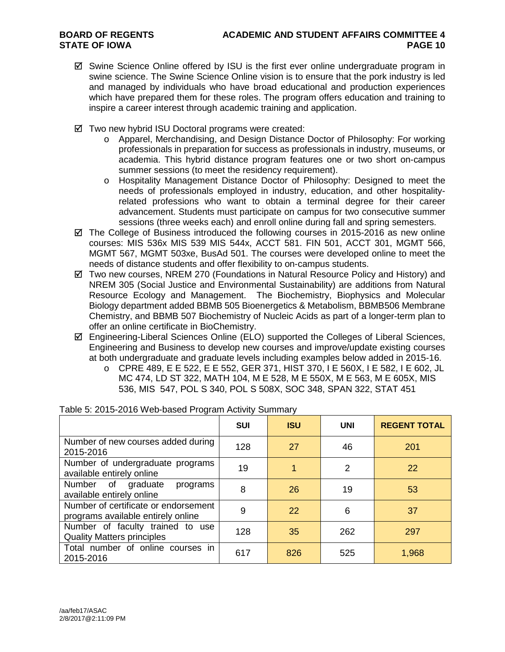- $\boxtimes$  Swine Science Online offered by ISU is the first ever online undergraduate program in swine science. The Swine Science Online vision is to ensure that the pork industry is led and managed by individuals who have broad educational and production experiences which have prepared them for these roles. The program offers education and training to inspire a career interest through academic training and application.
- Two new hybrid ISU Doctoral programs were created:
	- o Apparel, Merchandising, and Design Distance Doctor of Philosophy: For working professionals in preparation for success as professionals in industry, museums, or academia. This hybrid distance program features one or two short on-campus summer sessions (to meet the residency requirement).
	- o Hospitality Management Distance Doctor of Philosophy: Designed to meet the needs of professionals employed in industry, education, and other hospitalityrelated professions who want to obtain a terminal degree for their career advancement. Students must participate on campus for two consecutive summer sessions (three weeks each) and enroll online during fall and spring semesters.
- $\boxtimes$  The College of Business introduced the following courses in 2015-2016 as new online courses: MIS 536x MIS 539 MIS 544x, ACCT 581. FIN 501, ACCT 301, MGMT 566, MGMT 567, MGMT 503xe, BusAd 501. The courses were developed online to meet the needs of distance students and offer flexibility to on-campus students.
- $\boxtimes$  Two new courses, NREM 270 (Foundations in Natural Resource Policy and History) and NREM 305 (Social Justice and Environmental Sustainability) are additions from Natural Resource Ecology and Management. The Biochemistry, Biophysics and Molecular Biology department added BBMB 505 Bioenergetics & Metabolism, BBMB506 Membrane Chemistry, and BBMB 507 Biochemistry of Nucleic Acids as part of a longer-term plan to offer an online certificate in BioChemistry.
- $\boxtimes$  Engineering-Liberal Sciences Online (ELO) supported the Colleges of Liberal Sciences, Engineering and Business to develop new courses and improve/update existing courses at both undergraduate and graduate levels including examples below added in 2015-16.
	- o CPRE 489, E E 522, E E 552, GER 371, HIST 370, I E 560X, I E 582, I E 602, JL MC 474, LD ST 322, MATH 104, M E 528, M E 550X, M E 563, M E 605X, MIS 536, MIS 547, POL S 340, POL S 508X, SOC 348, SPAN 322, STAT 451

|                                                                            | <b>SUI</b> | <b>ISU</b> | <b>UNI</b> | <b>REGENT TOTAL</b> |
|----------------------------------------------------------------------------|------------|------------|------------|---------------------|
| Number of new courses added during<br>2015-2016                            | 128        | 27         | 46         | 201                 |
| Number of undergraduate programs<br>available entirely online              | 19         |            | 2          | 22                  |
| Number of graduate<br>programs<br>available entirely online                | 8          | 26         | 19         | 53                  |
| Number of certificate or endorsement<br>programs available entirely online | 9          | 22         | 6          | 37                  |
| Number of faculty trained to use<br><b>Quality Matters principles</b>      | 128        | 35         | 262        | 297                 |
| Total number of online courses in<br>2015-2016                             | 617        | 826        | 525        | 1,968               |

### Table 5: 2015-2016 Web-based Program Activity Summary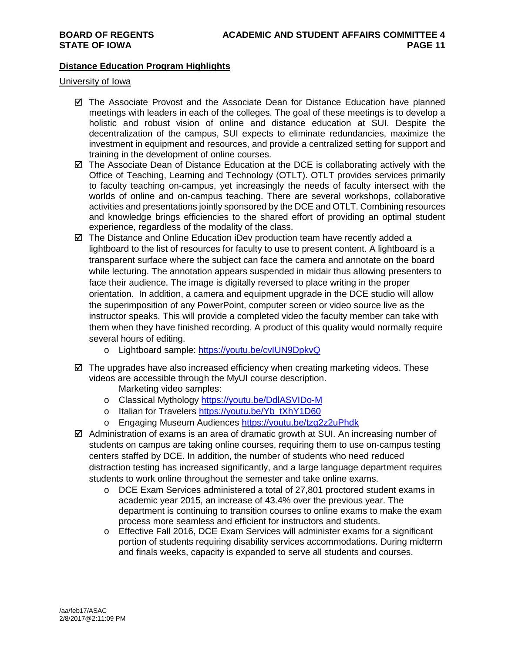### **Distance Education Program Highlights**

### University of Iowa

- $\boxtimes$  The Associate Provost and the Associate Dean for Distance Education have planned meetings with leaders in each of the colleges. The goal of these meetings is to develop a holistic and robust vision of online and distance education at SUI. Despite the decentralization of the campus, SUI expects to eliminate redundancies, maximize the investment in equipment and resources, and provide a centralized setting for support and training in the development of online courses.
- The Associate Dean of Distance Education at the DCE is collaborating actively with the Office of Teaching, Learning and Technology (OTLT). OTLT provides services primarily to faculty teaching on-campus, yet increasingly the needs of faculty intersect with the worlds of online and on-campus teaching. There are several workshops, collaborative activities and presentations jointly sponsored by the DCE and OTLT. Combining resources and knowledge brings efficiencies to the shared effort of providing an optimal student experience, regardless of the modality of the class.
- $\boxtimes$  The Distance and Online Education iDev production team have recently added a lightboard to the list of resources for faculty to use to present content. A lightboard is a transparent surface where the subject can face the camera and annotate on the board while lecturing. The annotation appears suspended in midair thus allowing presenters to face their audience. The image is digitally reversed to place writing in the proper orientation. In addition, a camera and equipment upgrade in the DCE studio will allow the superimposition of any PowerPoint, computer screen or video source live as the instructor speaks. This will provide a completed video the faculty member can take with them when they have finished recording. A product of this quality would normally require several hours of editing.
	- o Lightboard sample:<https://youtu.be/cvIUN9DpkvQ>
- $\boxtimes$  The upgrades have also increased efficiency when creating marketing videos. These videos are accessible through the MyUI course description. Marketing video samples:
	-
	- o Classical Mythology<https://youtu.be/DdlASVIDo-M>
	- o Italian for Travelers [https://youtu.be/Yb\\_tXhY1D60](https://youtu.be/Yb_tXhY1D60)
	- o Engaging Museum Audiences<https://youtu.be/tzg2z2uPhdk>
- $\boxtimes$  Administration of exams is an area of dramatic growth at SUI. An increasing number of students on campus are taking online courses, requiring them to use on-campus testing centers staffed by DCE. In addition, the number of students who need reduced distraction testing has increased significantly, and a large language department requires students to work online throughout the semester and take online exams.
	- o DCE Exam Services administered a total of 27,801 proctored student exams in academic year 2015, an increase of 43.4% over the previous year. The department is continuing to transition courses to online exams to make the exam process more seamless and efficient for instructors and students.
	- o Effective Fall 2016, DCE Exam Services will administer exams for a significant portion of students requiring disability services accommodations. During midterm and finals weeks, capacity is expanded to serve all students and courses.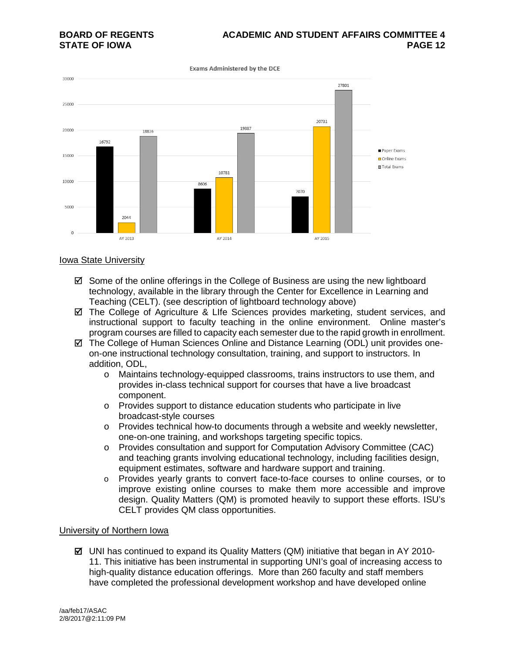# **BOARD OF REGENTS ACADEMIC AND STUDENT AFFAIRS COMMITTEE 4**

**Exams Administered by the DCE** 



### Iowa State University

- $\boxtimes$  Some of the online offerings in the College of Business are using the new lightboard technology, available in the library through the Center for Excellence in Learning and Teaching (CELT). (see description of lightboard technology above)
- The College of Agriculture & LIfe Sciences provides marketing, student services, and instructional support to faculty teaching in the online environment. Online master's program courses are filled to capacity each semester due to the rapid growth in enrollment.
- $\boxtimes$  The College of Human Sciences Online and Distance Learning (ODL) unit provides oneon-one instructional technology consultation, training, and support to instructors. In addition, ODL,
	- o Maintains technology-equipped classrooms, trains instructors to use them, and provides in-class technical support for courses that have a live broadcast component.
	- o Provides support to distance education students who participate in live broadcast-style courses
	- o Provides technical how-to documents through a website and weekly newsletter, one-on-one training, and workshops targeting specific topics.
	- o Provides consultation and support for Computation Advisory Committee (CAC) and teaching grants involving educational technology, including facilities design, equipment estimates, software and hardware support and training.
	- o Provides yearly grants to convert face-to-face courses to online courses, or to improve existing online courses to make them more accessible and improve design. Quality Matters (QM) is promoted heavily to support these efforts. ISU's CELT provides QM class opportunities.

### University of Northern Iowa

 $\boxtimes$  UNI has continued to expand its Quality Matters (QM) initiative that began in AY 2010-11. This initiative has been instrumental in supporting UNI's goal of increasing access to high-quality distance education offerings. More than 260 faculty and staff members have completed the professional development workshop and have developed online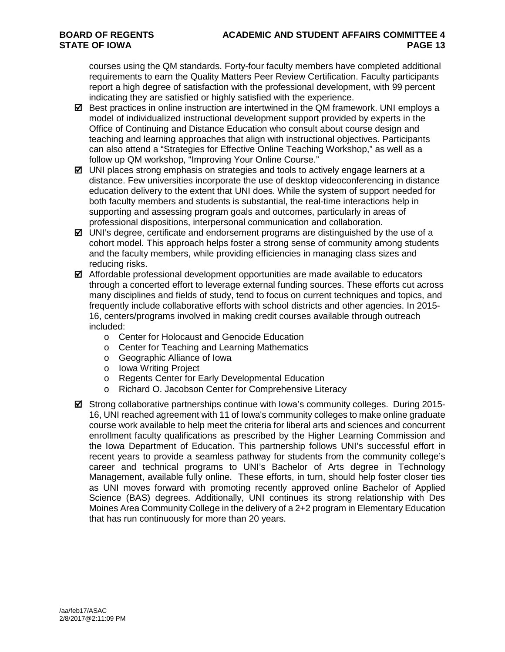# **BOARD OF REGENTS ACADEMIC AND STUDENT AFFAIRS COMMITTEE 4**

courses using the QM standards. Forty-four faculty members have completed additional requirements to earn the Quality Matters Peer Review Certification. Faculty participants report a high degree of satisfaction with the professional development, with 99 percent indicating they are satisfied or highly satisfied with the experience.

- $\boxtimes$  Best practices in online instruction are intertwined in the QM framework. UNI employs a model of individualized instructional development support provided by experts in the Office of Continuing and Distance Education who consult about course design and teaching and learning approaches that align with instructional objectives. Participants can also attend a "Strategies for Effective Online Teaching Workshop," as well as a follow up QM workshop, "Improving Your Online Course."
- $\boxtimes$  UNI places strong emphasis on strategies and tools to actively engage learners at a distance. Few universities incorporate the use of desktop videoconferencing in distance education delivery to the extent that UNI does. While the system of support needed for both faculty members and students is substantial, the real-time interactions help in supporting and assessing program goals and outcomes, particularly in areas of professional dispositions, interpersonal communication and collaboration.
- $\boxtimes$  UNI's degree, certificate and endorsement programs are distinguished by the use of a cohort model. This approach helps foster a strong sense of community among students and the faculty members, while providing efficiencies in managing class sizes and reducing risks.
- $\boxtimes$  Affordable professional development opportunities are made available to educators through a concerted effort to leverage external funding sources. These efforts cut across many disciplines and fields of study, tend to focus on current techniques and topics, and frequently include collaborative efforts with school districts and other agencies. In 2015- 16, centers/programs involved in making credit courses available through outreach included:
	- o Center for Holocaust and Genocide Education
	- o Center for Teaching and Learning Mathematics
	- o Geographic Alliance of Iowa
	- o Iowa Writing Project
	- o Regents Center for Early Developmental Education
	- o Richard O. Jacobson Center for Comprehensive Literacy
- $\boxtimes$  Strong collaborative partnerships continue with Iowa's community colleges. During 2015-16, UNI reached agreement with 11 of Iowa's community colleges to make online graduate course work available to help meet the criteria for liberal arts and sciences and concurrent enrollment faculty qualifications as prescribed by the Higher Learning Commission and the Iowa Department of Education. This partnership follows UNI's successful effort in recent years to provide a seamless pathway for students from the community college's career and technical programs to UNI's Bachelor of Arts degree in Technology Management, available fully online. These efforts, in turn, should help foster closer ties as UNI moves forward with promoting recently approved online Bachelor of Applied Science (BAS) degrees. Additionally, UNI continues its strong relationship with Des Moines Area Community College in the delivery of a 2+2 program in Elementary Education that has run continuously for more than 20 years.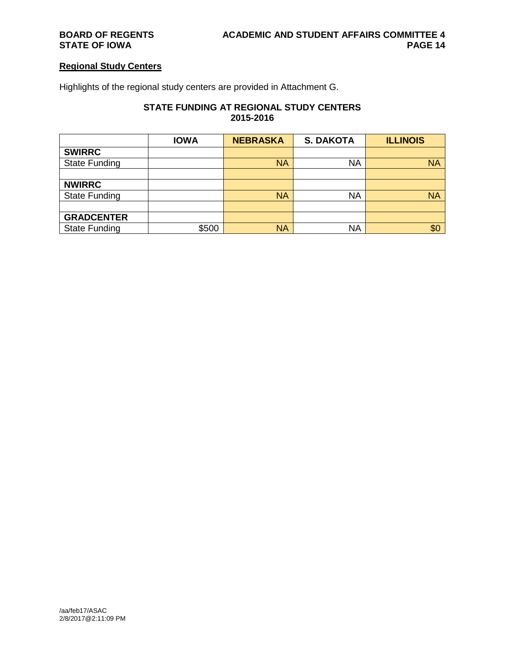### **Regional Study Centers**

Highlights of the regional study centers are provided in Attachment G.

### **STATE FUNDING AT REGIONAL STUDY CENTERS 2015-2016**

|                      | <b>IOWA</b> | <b>NEBRASKA</b> | <b>S. DAKOTA</b> | <b>ILLINOIS</b> |
|----------------------|-------------|-----------------|------------------|-----------------|
| <b>SWIRRC</b>        |             |                 |                  |                 |
| <b>State Funding</b> |             | <b>NA</b>       | <b>NA</b>        | <b>NA</b>       |
|                      |             |                 |                  |                 |
| <b>NWIRRC</b>        |             |                 |                  |                 |
| <b>State Funding</b> |             | <b>NA</b>       | <b>NA</b>        | <b>NA</b>       |
|                      |             |                 |                  |                 |
| <b>GRADCENTER</b>    |             |                 |                  |                 |
| <b>State Funding</b> | \$500       | <b>NA</b>       | <b>NA</b>        | \$0             |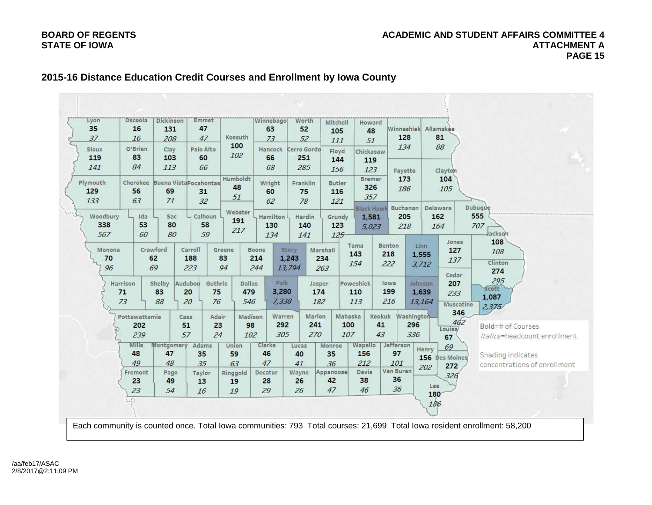### Worth Lvon Osceola **Dickinson** Emmet Winnebago Mitchell Howard Winneshiek Allamakee Kossuth O'Brien Palo Alto Hancock Sioux Clay Cerro Gordo Floyd Chickasaw Favette Clayton **Bremer** Humboldt Cherokee Buena Vista Pocahontas Plymouth Wright Franklin Butler Dubuque Buchanan Delaware **Black Hawk** Webster Woodbury Ida Sac Calhoun Hamilton Hardin Grundy 1.581 5,023 ackson Jones Tama Benton Linn Crawford Carroll Monona Greene Boone Story Marshall 1,555 1,243 Clinton  $3.712$ 13,794 Cedar Harrison Shelby Audubon Guthrie Dallas Polk Jasper Poweshiek lowa Johnson Scott 3,280 1,639 1.087 7,338 13,164 **Muscatine**  $2,375$ Mahaska Washington Warren Marion Keokuk Pottawattamie Cass Adair Madison Bold=# of Courses Louisa/ /talics=headcount enrollment Mills Montgomery Clarke Monroe Wapello Jefferson Adams Union Lucas Henry Shading indicates Des Moines concentrations of enrollment Van Buren Davis Fremont Page Taylor Ringgold Decatur Wayne Appanoose Lee Each community is counted once. Total Iowa communities: 793 Total courses: 21,699 Total Iowa resident enrollment: 58,200

### **2015-16 Distance Education Credit Courses and Enrollment by Iowa County**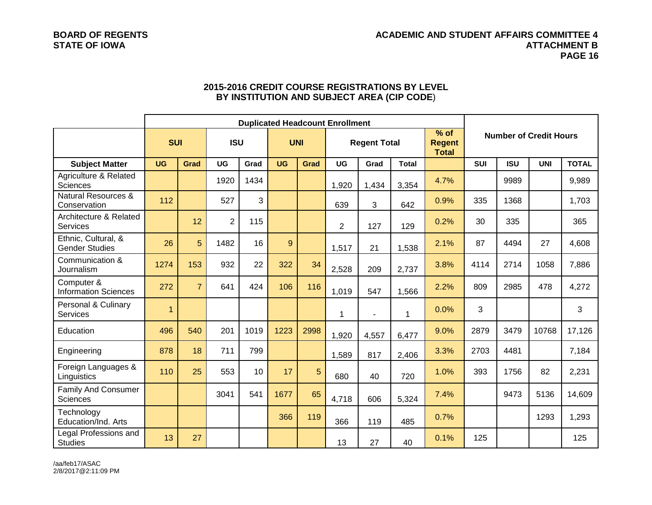### **BOARD OF REGENTS ACADEMIC AND STUDENT AFFAIRS COMMITTEE 4 STATE OF IOWA ATTACHMENT B PAGE 16**

|                                                |                | <b>Duplicated Headcount Enrollment</b> |                |      |            |             |           |                     |              |                                         |            |                               |            |              |  |  |
|------------------------------------------------|----------------|----------------------------------------|----------------|------|------------|-------------|-----------|---------------------|--------------|-----------------------------------------|------------|-------------------------------|------------|--------------|--|--|
|                                                | <b>SUI</b>     |                                        | <b>ISU</b>     |      | <b>UNI</b> |             |           | <b>Regent Total</b> |              | $%$ of<br><b>Regent</b><br><b>Total</b> |            | <b>Number of Credit Hours</b> |            |              |  |  |
| <b>Subject Matter</b>                          | <b>UG</b>      | Grad                                   | <b>UG</b>      | Grad | <b>UG</b>  | <b>Grad</b> | <b>UG</b> | Grad                | <b>Total</b> |                                         | <b>SUI</b> | <b>ISU</b>                    | <b>UNI</b> | <b>TOTAL</b> |  |  |
| Agriculture & Related<br><b>Sciences</b>       |                |                                        | 1920           | 1434 |            |             | 1,920     | 1,434               | 3,354        | 4.7%                                    |            | 9989                          |            | 9,989        |  |  |
| <b>Natural Resources &amp;</b><br>Conservation | 112            |                                        | 527            | 3    |            |             | 639       | 3                   | 642          | 0.9%                                    | 335        | 1368                          |            | 1,703        |  |  |
| Architecture & Related<br>Services             |                | 12                                     | $\overline{2}$ | 115  |            |             | 2         | 127                 | 129          | 0.2%                                    | 30         | 335                           |            | 365          |  |  |
| Ethnic, Cultural, &<br><b>Gender Studies</b>   | 26             | 5                                      | 1482           | 16   | 9          |             | 1,517     | 21                  | 1,538        | 2.1%                                    | 87         | 4494                          | 27         | 4,608        |  |  |
| Communication &<br>Journalism                  | 1274           | 153                                    | 932            | 22   | 322        | 34          | 2,528     | 209                 | 2,737        | 3.8%                                    | 4114       | 2714                          | 1058       | 7,886        |  |  |
| Computer &<br><b>Information Sciences</b>      | 272            | $\overline{7}$                         | 641            | 424  | 106        | 116         | 1,019     | 547                 | 1,566        | 2.2%                                    | 809        | 2985                          | 478        | 4,272        |  |  |
| Personal & Culinary<br><b>Services</b>         | $\overline{1}$ |                                        |                |      |            |             | 1         |                     | $\mathbf{1}$ | 0.0%                                    | 3          |                               |            | 3            |  |  |
| Education                                      | 496            | 540                                    | 201            | 1019 | 1223       | 2998        | 1,920     | 4,557               | 6,477        | 9.0%                                    | 2879       | 3479                          | 10768      | 17,126       |  |  |
| Engineering                                    | 878            | 18                                     | 711            | 799  |            |             | 1,589     | 817                 | 2,406        | 3.3%                                    | 2703       | 4481                          |            | 7,184        |  |  |
| Foreign Languages &<br>Linguistics             | 110            | 25                                     | 553            | 10   | 17         | 5           | 680       | 40                  | 720          | 1.0%                                    | 393        | 1756                          | 82         | 2,231        |  |  |
| <b>Family And Consumer</b><br><b>Sciences</b>  |                |                                        | 3041           | 541  | 1677       | 65          | 4,718     | 606                 | 5,324        | 7.4%                                    |            | 9473                          | 5136       | 14,609       |  |  |
| Technology<br>Education/Ind. Arts              |                |                                        |                |      | 366        | 119         | 366       | 119                 | 485          | 0.7%                                    |            |                               | 1293       | 1,293        |  |  |
| Legal Professions and<br><b>Studies</b>        | 13             | 27                                     |                |      |            |             | 13        | 27                  | 40           | 0.1%                                    | 125        |                               |            | 125          |  |  |

### **2015-2016 CREDIT COURSE REGISTRATIONS BY LEVEL BY INSTITUTION AND SUBJECT AREA (CIP CODE**)

/aa/feb17/ASAC 2/8/2017@2:11:09 PM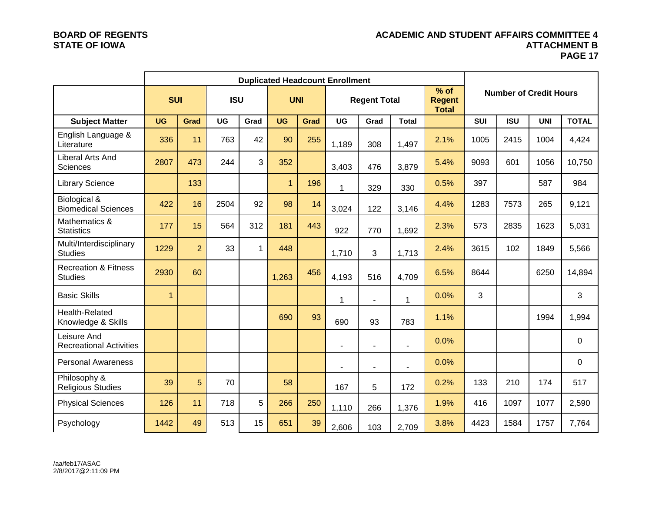### **BOARD OF REGENTS ACADEMIC AND STUDENT AFFAIRS COMMITTEE 4 ATTACHMENT B PAGE 17**

|                                                   |                | <b>Duplicated Headcount Enrollment</b> |            |              |              |      |                                     |                |                |                         |            |                               |            |              |
|---------------------------------------------------|----------------|----------------------------------------|------------|--------------|--------------|------|-------------------------------------|----------------|----------------|-------------------------|------------|-------------------------------|------------|--------------|
|                                                   | <b>SUI</b>     |                                        | <b>ISU</b> |              | <b>UNI</b>   |      | <b>Regent Total</b><br><b>Total</b> |                |                | $%$ of<br><b>Regent</b> |            | <b>Number of Credit Hours</b> |            |              |
| <b>Subject Matter</b>                             | <b>UG</b>      | Grad                                   | <b>UG</b>  | Grad         | <b>UG</b>    | Grad | <b>UG</b>                           | Grad           | <b>Total</b>   |                         | <b>SUI</b> | <b>ISU</b>                    | <b>UNI</b> | <b>TOTAL</b> |
| English Language &<br>Literature                  | 336            | 11                                     | 763        | 42           | 90           | 255  | 1,189                               | 308            | 1,497          | 2.1%                    | 1005       | 2415                          | 1004       | 4,424        |
| Liberal Arts And<br><b>Sciences</b>               | 2807           | 473                                    | 244        | 3            | 352          |      | 3,403                               | 476            | 3,879          | 5.4%                    | 9093       | 601                           | 1056       | 10,750       |
| <b>Library Science</b>                            |                | 133                                    |            |              | $\mathbf{1}$ | 196  | 1                                   | 329            | 330            | 0.5%                    | 397        |                               | 587        | 984          |
| Biological &<br><b>Biomedical Sciences</b>        | 422            | 16                                     | 2504       | 92           | 98           | 14   | 3,024                               | 122            | 3,146          | 4.4%                    | 1283       | 7573                          | 265        | 9,121        |
| Mathematics &<br><b>Statistics</b>                | 177            | 15                                     | 564        | 312          | 181          | 443  | 922                                 | 770            | 1,692          | 2.3%                    | 573        | 2835                          | 1623       | 5,031        |
| Multi/Interdisciplinary<br><b>Studies</b>         | 1229           | $\overline{2}$                         | 33         | $\mathbf{1}$ | 448          |      | 1,710                               | 3              | 1,713          | 2.4%                    | 3615       | 102                           | 1849       | 5,566        |
| <b>Recreation &amp; Fitness</b><br><b>Studies</b> | 2930           | 60                                     |            |              | 1,263        | 456  | 4,193                               | 516            | 4,709          | 6.5%                    | 8644       |                               | 6250       | 14,894       |
| <b>Basic Skills</b>                               | $\overline{1}$ |                                        |            |              |              |      | 1                                   | $\blacksquare$ | 1              | 0.0%                    | 3          |                               |            | 3            |
| <b>Health-Related</b><br>Knowledge & Skills       |                |                                        |            |              | 690          | 93   | 690                                 | 93             | 783            | 1.1%                    |            |                               | 1994       | 1,994        |
| Leisure And<br><b>Recreational Activities</b>     |                |                                        |            |              |              |      | $\blacksquare$                      | ٠              | $\overline{a}$ | 0.0%                    |            |                               |            | 0            |
| <b>Personal Awareness</b>                         |                |                                        |            |              |              |      |                                     | $\blacksquare$ |                | 0.0%                    |            |                               |            | 0            |
| Philosophy &<br><b>Religious Studies</b>          | 39             | 5                                      | 70         |              | 58           |      | 167                                 | 5              | 172            | 0.2%                    | 133        | 210                           | 174        | 517          |
| <b>Physical Sciences</b>                          | 126            | 11                                     | 718        | 5            | 266          | 250  | 1,110                               | 266            | 1,376          | 1.9%                    | 416        | 1097                          | 1077       | 2,590        |
| Psychology                                        | 1442           | 49                                     | 513        | 15           | 651          | 39   | 2,606                               | 103            | 2,709          | 3.8%                    | 4423       | 1584                          | 1757       | 7,764        |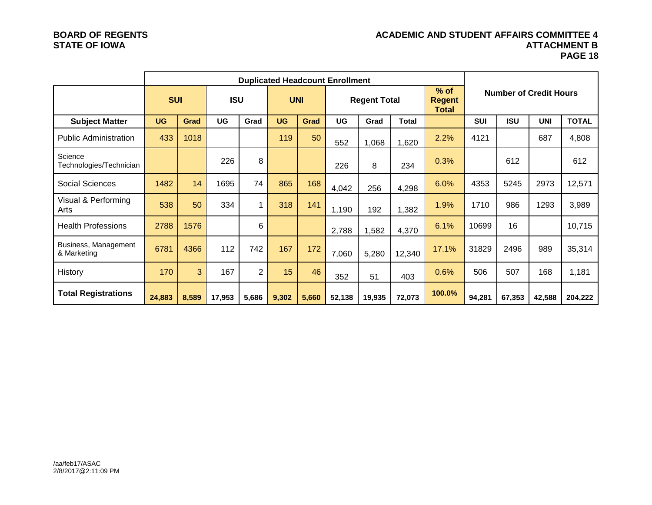### **BOARD OF REGENTS ACADEMIC AND STUDENT AFFAIRS COMMITTEE 4 ATTACHMENT B PAGE 18**

|                                     |            | <b>Duplicated Headcount Enrollment</b> |            |                |           |            |                     |        |        |                                         |            |                               |            |              |  |
|-------------------------------------|------------|----------------------------------------|------------|----------------|-----------|------------|---------------------|--------|--------|-----------------------------------------|------------|-------------------------------|------------|--------------|--|
|                                     | <b>SUI</b> |                                        | <b>ISU</b> |                |           | <b>UNI</b> | <b>Regent Total</b> |        |        | $%$ of<br><b>Regent</b><br><b>Total</b> |            | <b>Number of Credit Hours</b> |            |              |  |
| <b>Subject Matter</b>               | <b>UG</b>  | Grad                                   | UG         | Grad           | <b>UG</b> | Grad       | UG                  | Grad   | Total  |                                         | <b>SUI</b> | <b>ISU</b>                    | <b>UNI</b> | <b>TOTAL</b> |  |
| <b>Public Administration</b>        | 433        | 1018                                   |            |                | 119       | 50         | 552                 | 1,068  | 1,620  | 2.2%                                    | 4121       |                               | 687        | 4,808        |  |
| Science<br>Technologies/Technician  |            |                                        | 226        | 8              |           |            | 226                 | 8      | 234    | 0.3%                                    |            | 612                           |            | 612          |  |
| Social Sciences                     | 1482       | 14                                     | 1695       | 74             | 865       | 168        | 4,042               | 256    | 4,298  | 6.0%                                    | 4353       | 5245                          | 2973       | 12,571       |  |
| Visual & Performing<br>Arts         | 538        | 50                                     | 334        | 1              | 318       | 141        | 1,190               | 192    | 1,382  | 1.9%                                    | 1710       | 986                           | 1293       | 3,989        |  |
| <b>Health Professions</b>           | 2788       | 1576                                   |            | 6              |           |            | 2,788               | ,582   | 4,370  | 6.1%                                    | 10699      | 16                            |            | 10,715       |  |
| Business, Management<br>& Marketing | 6781       | 4366                                   | 112        | 742            | 167       | 172        | 7,060               | 5,280  | 12,340 | 17.1%                                   | 31829      | 2496                          | 989        | 35,314       |  |
| History                             | 170        | 3                                      | 167        | $\overline{2}$ | 15        | 46         | 352                 | 51     | 403    | 0.6%                                    | 506        | 507                           | 168        | 1,181        |  |
| <b>Total Registrations</b>          | 24,883     | 8,589                                  | 17,953     | 5,686          | 9,302     | 5,660      | 52,138              | 19,935 | 72,073 | 100.0%                                  | 94,281     | 67,353                        | 42,588     | 204,222      |  |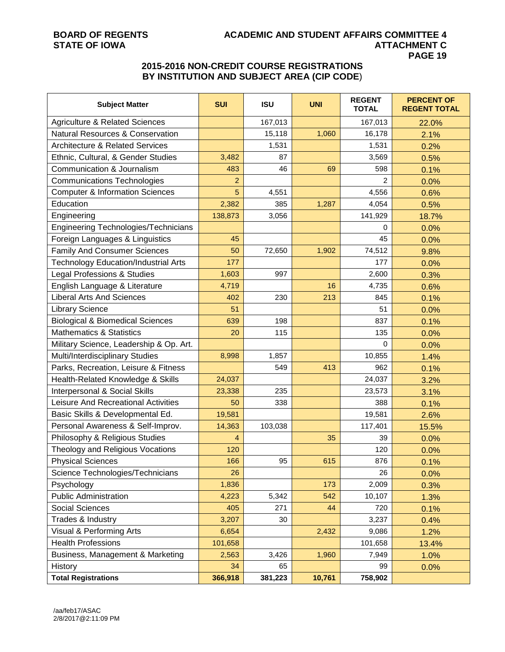## **BOARD OF REGENTS ACADEMIC AND STUDENT AFFAIRS COMMITTEE 4 PAGE 19**

### **2015-2016 NON-CREDIT COURSE REGISTRATIONS BY INSTITUTION AND SUBJECT AREA (CIP CODE**)

| <b>Subject Matter</b>                       | <b>SUI</b>     | <b>ISU</b> | <b>UNI</b> | <b>REGENT</b><br><b>TOTAL</b> | <b>PERCENT OF</b><br><b>REGENT TOTAL</b> |
|---------------------------------------------|----------------|------------|------------|-------------------------------|------------------------------------------|
| <b>Agriculture &amp; Related Sciences</b>   |                | 167,013    |            | 167,013                       | 22.0%                                    |
| <b>Natural Resources &amp; Conservation</b> |                | 15,118     | 1,060      | 16,178                        | 2.1%                                     |
| <b>Architecture &amp; Related Services</b>  |                | 1,531      |            | 1,531                         | 0.2%                                     |
| Ethnic, Cultural, & Gender Studies          | 3,482          | 87         |            | 3,569                         | 0.5%                                     |
| Communication & Journalism                  | 483            | 46         | 69         | 598                           | 0.1%                                     |
| <b>Communications Technologies</b>          | 2              |            |            | $\mathcal{P}$                 | 0.0%                                     |
| <b>Computer &amp; Information Sciences</b>  | 5              | 4,551      |            | 4,556                         | 0.6%                                     |
| Education                                   | 2,382          | 385        | 1,287      | 4,054                         | 0.5%                                     |
| Engineering                                 | 138,873        | 3,056      |            | 141,929                       | 18.7%                                    |
| Engineering Technologies/Technicians        |                |            |            | 0                             | 0.0%                                     |
| Foreign Languages & Linguistics             | 45             |            |            | 45                            | 0.0%                                     |
| <b>Family And Consumer Sciences</b>         | 50             | 72,650     | 1,902      | 74,512                        | 9.8%                                     |
| <b>Technology Education/Industrial Arts</b> | 177            |            |            | 177                           | 0.0%                                     |
| Legal Professions & Studies                 | 1,603          | 997        |            | 2,600                         | 0.3%                                     |
| English Language & Literature               | 4,719          |            | 16         | 4,735                         | 0.6%                                     |
| <b>Liberal Arts And Sciences</b>            | 402            | 230        | 213        | 845                           | 0.1%                                     |
| <b>Library Science</b>                      | 51             |            |            | 51                            | 0.0%                                     |
| <b>Biological &amp; Biomedical Sciences</b> | 639            | 198        |            | 837                           | 0.1%                                     |
| <b>Mathematics &amp; Statistics</b>         | 20             | 115        |            | 135                           | 0.0%                                     |
| Military Science, Leadership & Op. Art.     |                |            |            | $\mathbf 0$                   | 0.0%                                     |
| Multi/Interdisciplinary Studies             | 8,998          | 1,857      |            | 10,855                        | 1.4%                                     |
| Parks, Recreation, Leisure & Fitness        |                | 549        | 413        | 962                           | 0.1%                                     |
| Health-Related Knowledge & Skills           | 24,037         |            |            | 24,037                        | 3.2%                                     |
| Interpersonal & Social Skills               | 23,338         | 235        |            | 23,573                        | 3.1%                                     |
| Leisure And Recreational Activities         | 50             | 338        |            | 388                           | 0.1%                                     |
| Basic Skills & Developmental Ed.            | 19,581         |            |            | 19,581                        | 2.6%                                     |
| Personal Awareness & Self-Improv.           | 14,363         | 103,038    |            | 117,401                       | 15.5%                                    |
| Philosophy & Religious Studies              | $\overline{4}$ |            | 35         | 39                            | 0.0%                                     |
| Theology and Religious Vocations            | 120            |            |            | 120                           | 0.0%                                     |
| <b>Physical Sciences</b>                    | 166            | 95         | 615        | 876                           | 0.1%                                     |
| Science Technologies/Technicians            | 26             |            |            | 26                            | 0.0%                                     |
| Psychology                                  | 1,836          |            | 173        | 2,009                         | 0.3%                                     |
| <b>Public Administration</b>                | 4,223          | 5,342      | 542        | 10,107                        | 1.3%                                     |
| Social Sciences                             | 405            | 271        | 44         | 720                           | 0.1%                                     |
| Trades & Industry                           | 3,207          | 30         |            | 3,237                         | 0.4%                                     |
| Visual & Performing Arts                    | 6,654          |            | 2,432      | 9,086                         | 1.2%                                     |
| <b>Health Professions</b>                   | 101,658        |            |            | 101,658                       | 13.4%                                    |
| Business, Management & Marketing            | 2,563          | 3,426      | 1,960      | 7,949                         | 1.0%                                     |
| <b>History</b>                              | 34             | 65         |            | 99                            | 0.0%                                     |
| <b>Total Registrations</b>                  | 366,918        | 381,223    | 10,761     | 758,902                       |                                          |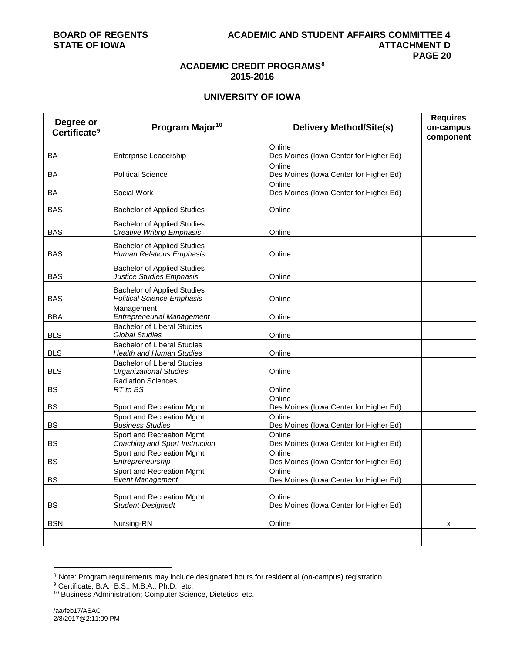### **ACADEMIC CREDIT PROGRAMS[8](#page-19-0) 2015-2016**

### **UNIVERSITY OF IOWA**

|                                                                         | <b>Delivery Method/Site(s)</b>                                                                                                                                                                                                                                                                                                           | <b>Requires</b><br>on-campus                                                                                                                                                                                                                 |
|-------------------------------------------------------------------------|------------------------------------------------------------------------------------------------------------------------------------------------------------------------------------------------------------------------------------------------------------------------------------------------------------------------------------------|----------------------------------------------------------------------------------------------------------------------------------------------------------------------------------------------------------------------------------------------|
|                                                                         |                                                                                                                                                                                                                                                                                                                                          | component                                                                                                                                                                                                                                    |
| Enterprise Leadership                                                   | Online<br>Des Moines (Iowa Center for Higher Ed)                                                                                                                                                                                                                                                                                         |                                                                                                                                                                                                                                              |
| <b>Political Science</b>                                                | Online<br>Des Moines (Iowa Center for Higher Ed)                                                                                                                                                                                                                                                                                         |                                                                                                                                                                                                                                              |
| Social Work                                                             | Des Moines (Iowa Center for Higher Ed)                                                                                                                                                                                                                                                                                                   |                                                                                                                                                                                                                                              |
| <b>Bachelor of Applied Studies</b>                                      | Online                                                                                                                                                                                                                                                                                                                                   |                                                                                                                                                                                                                                              |
| <b>Bachelor of Applied Studies</b><br><b>Creative Writing Emphasis</b>  | Online                                                                                                                                                                                                                                                                                                                                   |                                                                                                                                                                                                                                              |
| <b>Bachelor of Applied Studies</b><br><b>Human Relations Emphasis</b>   | Online                                                                                                                                                                                                                                                                                                                                   |                                                                                                                                                                                                                                              |
| <b>Bachelor of Applied Studies</b><br><b>Justice Studies Emphasis</b>   | Online                                                                                                                                                                                                                                                                                                                                   |                                                                                                                                                                                                                                              |
| <b>Bachelor of Applied Studies</b><br><b>Political Science Emphasis</b> | Online                                                                                                                                                                                                                                                                                                                                   |                                                                                                                                                                                                                                              |
| <b>Entrepreneurial Management</b>                                       | Online                                                                                                                                                                                                                                                                                                                                   |                                                                                                                                                                                                                                              |
| <b>Global Studies</b>                                                   | Online                                                                                                                                                                                                                                                                                                                                   |                                                                                                                                                                                                                                              |
| <b>Health and Human Studies</b>                                         | Online                                                                                                                                                                                                                                                                                                                                   |                                                                                                                                                                                                                                              |
| <b>Bachelor of Liberal Studies</b><br><b>Organizational Studies</b>     | Online                                                                                                                                                                                                                                                                                                                                   |                                                                                                                                                                                                                                              |
| <b>Radiation Sciences</b><br>RT to BS                                   | Online                                                                                                                                                                                                                                                                                                                                   |                                                                                                                                                                                                                                              |
|                                                                         | Online                                                                                                                                                                                                                                                                                                                                   |                                                                                                                                                                                                                                              |
| Sport and Recreation Mgmt                                               | Online                                                                                                                                                                                                                                                                                                                                   |                                                                                                                                                                                                                                              |
|                                                                         |                                                                                                                                                                                                                                                                                                                                          |                                                                                                                                                                                                                                              |
| Coaching and Sport Instruction                                          | Des Moines (Iowa Center for Higher Ed)                                                                                                                                                                                                                                                                                                   |                                                                                                                                                                                                                                              |
| Sport and Recreation Mgmt                                               | Online                                                                                                                                                                                                                                                                                                                                   |                                                                                                                                                                                                                                              |
|                                                                         |                                                                                                                                                                                                                                                                                                                                          |                                                                                                                                                                                                                                              |
|                                                                         |                                                                                                                                                                                                                                                                                                                                          |                                                                                                                                                                                                                                              |
|                                                                         |                                                                                                                                                                                                                                                                                                                                          |                                                                                                                                                                                                                                              |
|                                                                         | Online                                                                                                                                                                                                                                                                                                                                   |                                                                                                                                                                                                                                              |
|                                                                         |                                                                                                                                                                                                                                                                                                                                          |                                                                                                                                                                                                                                              |
| Nursing-RN                                                              | Online                                                                                                                                                                                                                                                                                                                                   | х                                                                                                                                                                                                                                            |
|                                                                         |                                                                                                                                                                                                                                                                                                                                          |                                                                                                                                                                                                                                              |
|                                                                         | Program Major <sup>10</sup><br>Management<br><b>Bachelor of Liberal Studies</b><br><b>Bachelor of Liberal Studies</b><br>Sport and Recreation Mgmt<br><b>Business Studies</b><br>Sport and Recreation Mgmt<br>Entrepreneurship<br>Sport and Recreation Mgmt<br><b>Event Management</b><br>Sport and Recreation Mgmt<br>Student-Designedt | Online<br>Des Moines (Iowa Center for Higher Ed)<br>Des Moines (Iowa Center for Higher Ed)<br>Online<br>Des Moines (Iowa Center for Higher Ed)<br>Online<br>Des Moines (Iowa Center for Higher Ed)<br>Des Moines (Iowa Center for Higher Ed) |

<span id="page-19-0"></span>ender the correct mattem mand of the term of the term of the term of the term of the stretch.<br>In Note: Program requirements may include designated hours for residential (on-campus) registration.

<sup>&</sup>lt;sup>9</sup> Certificate, B.A., B.S., M.B.A., Ph.D., etc.

<span id="page-19-2"></span><span id="page-19-1"></span><sup>10</sup> Business Administration; Computer Science, Dietetics; etc.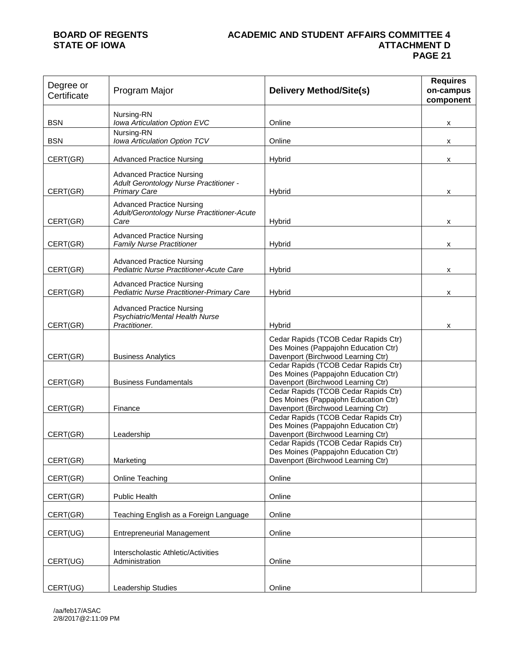### **BOARD OF REGENTS ACADEMIC AND STUDENT AFFAIRS COMMITTEE 4 ATTACHMENT D PAGE 21**

| Degree or<br>Certificate | Program Major                                                                                     | <b>Delivery Method/Site(s)</b>                                                                                     | <b>Requires</b><br>on-campus<br>component |
|--------------------------|---------------------------------------------------------------------------------------------------|--------------------------------------------------------------------------------------------------------------------|-------------------------------------------|
| <b>BSN</b>               | Nursing-RN<br>Iowa Articulation Option EVC                                                        | Online                                                                                                             | x                                         |
| <b>BSN</b>               | Nursing-RN<br>Iowa Articulation Option TCV                                                        | Online                                                                                                             | x                                         |
| CERT(GR)                 | <b>Advanced Practice Nursing</b>                                                                  | Hybrid                                                                                                             | x                                         |
| CERT(GR)                 | <b>Advanced Practice Nursing</b><br>Adult Gerontology Nurse Practitioner -<br><b>Primary Care</b> | <b>Hybrid</b>                                                                                                      | x                                         |
| CERT(GR)                 | <b>Advanced Practice Nursing</b><br>Adult/Gerontology Nurse Practitioner-Acute<br>Care            | Hybrid                                                                                                             | x                                         |
| CERT(GR)                 | <b>Advanced Practice Nursing</b><br><b>Family Nurse Practitioner</b>                              | Hybrid                                                                                                             | x                                         |
| CERT(GR)                 | <b>Advanced Practice Nursing</b><br>Pediatric Nurse Practitioner-Acute Care                       | Hybrid                                                                                                             | x                                         |
| CERT(GR)                 | <b>Advanced Practice Nursing</b><br>Pediatric Nurse Practitioner-Primary Care                     | Hybrid                                                                                                             | x                                         |
| CERT(GR)                 | <b>Advanced Practice Nursing</b><br>Psychiatric/Mental Health Nurse<br>Practitioner.              | <b>Hybrid</b>                                                                                                      | x                                         |
| CERT(GR)                 | <b>Business Analytics</b>                                                                         | Cedar Rapids (TCOB Cedar Rapids Ctr)<br>Des Moines (Pappajohn Education Ctr)<br>Davenport (Birchwood Learning Ctr) |                                           |
| CERT(GR)                 | <b>Business Fundamentals</b>                                                                      | Cedar Rapids (TCOB Cedar Rapids Ctr)<br>Des Moines (Pappajohn Education Ctr)<br>Davenport (Birchwood Learning Ctr) |                                           |
| CERT(GR)                 | Finance                                                                                           | Cedar Rapids (TCOB Cedar Rapids Ctr)<br>Des Moines (Pappajohn Education Ctr)<br>Davenport (Birchwood Learning Ctr) |                                           |
| CERT(GR)                 | Leadership                                                                                        | Cedar Rapids (TCOB Cedar Rapids Ctr)<br>Des Moines (Pappajohn Education Ctr)<br>Davenport (Birchwood Learning Ctr) |                                           |
| CERT(GR)                 | Marketing                                                                                         | Cedar Rapids (TCOB Cedar Rapids Ctr)<br>Des Moines (Pappajohn Education Ctr)<br>Davenport (Birchwood Learning Ctr) |                                           |
| CERT(GR)                 | Online Teaching                                                                                   | Online                                                                                                             |                                           |
| CERT(GR)                 | Public Health                                                                                     | Online                                                                                                             |                                           |
| CERT(GR)                 | Teaching English as a Foreign Language                                                            | Online                                                                                                             |                                           |
| CERT(UG)                 | <b>Entrepreneurial Management</b>                                                                 | Online                                                                                                             |                                           |
| CERT(UG)                 | Interscholastic Athletic/Activities<br>Administration                                             | Online                                                                                                             |                                           |
| CERT(UG)                 | Leadership Studies                                                                                | Online                                                                                                             |                                           |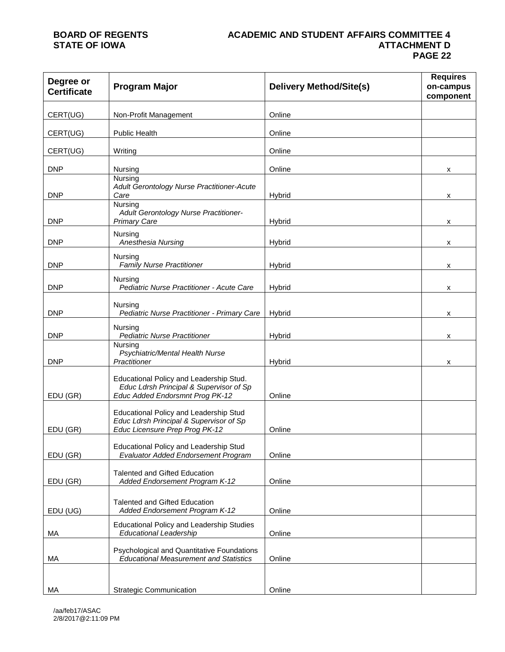### **BOARD OF REGENTS ACADEMIC AND STUDENT AFFAIRS COMMITTEE 4 ATTACHMENT D PAGE 22**

| Degree or<br><b>Certificate</b> | <b>Program Major</b>                                                                                                  | <b>Delivery Method/Site(s)</b> | <b>Requires</b><br>on-campus<br>component |
|---------------------------------|-----------------------------------------------------------------------------------------------------------------------|--------------------------------|-------------------------------------------|
| CERT(UG)                        | Non-Profit Management                                                                                                 | Online                         |                                           |
| CERT(UG)                        | <b>Public Health</b>                                                                                                  | Online                         |                                           |
| CERT(UG)                        | Writing                                                                                                               | Online                         |                                           |
| <b>DNP</b>                      | Nursing                                                                                                               | Online                         | x                                         |
| <b>DNP</b>                      | Nursing<br>Adult Gerontology Nurse Practitioner-Acute<br>Care                                                         | Hybrid                         | x                                         |
| <b>DNP</b>                      | Nursing<br>Adult Gerontology Nurse Practitioner-<br><b>Primary Care</b>                                               | Hybrid                         | x                                         |
| <b>DNP</b>                      | Nursing<br>Anesthesia Nursing                                                                                         | Hybrid                         | x                                         |
| <b>DNP</b>                      | Nursing<br>Family Nurse Practitioner                                                                                  | Hybrid                         | x                                         |
| <b>DNP</b>                      | Nursing<br>Pediatric Nurse Practitioner - Acute Care                                                                  | Hybrid                         | x                                         |
| <b>DNP</b>                      | Nursing<br>Pediatric Nurse Practitioner - Primary Care                                                                | Hybrid                         | x                                         |
| <b>DNP</b>                      | Nursing<br><b>Pediatric Nurse Practitioner</b>                                                                        | Hybrid                         | х                                         |
| <b>DNP</b>                      | Nursing<br>Psychiatric/Mental Health Nurse<br>Practitioner                                                            | Hybrid                         | x                                         |
| EDU (GR)                        | Educational Policy and Leadership Stud.<br>Educ Ldrsh Principal & Supervisor of Sp<br>Educ Added Endorsmnt Prog PK-12 | Online                         |                                           |
| EDU (GR)                        | Educational Policy and Leadership Stud<br>Educ Ldrsh Principal & Supervisor of Sp<br>Educ Licensure Prep Prog PK-12   | Online                         |                                           |
| EDU (GR)                        | Educational Policy and Leadership Stud<br><b>Evaluator Added Endorsement Program</b>                                  | Online                         |                                           |
| EDU (GR)                        | <b>Talented and Gifted Education</b><br>Added Endorsement Program K-12                                                | Online                         |                                           |
| EDU (UG)                        | <b>Talented and Gifted Education</b><br>Added Endorsement Program K-12                                                | Online                         |                                           |
| МA                              | Educational Policy and Leadership Studies<br><b>Educational Leadership</b>                                            | Online                         |                                           |
| МA                              | Psychological and Quantitative Foundations<br><b>Educational Measurement and Statistics</b>                           | Online                         |                                           |
| МA                              | <b>Strategic Communication</b>                                                                                        | Online                         |                                           |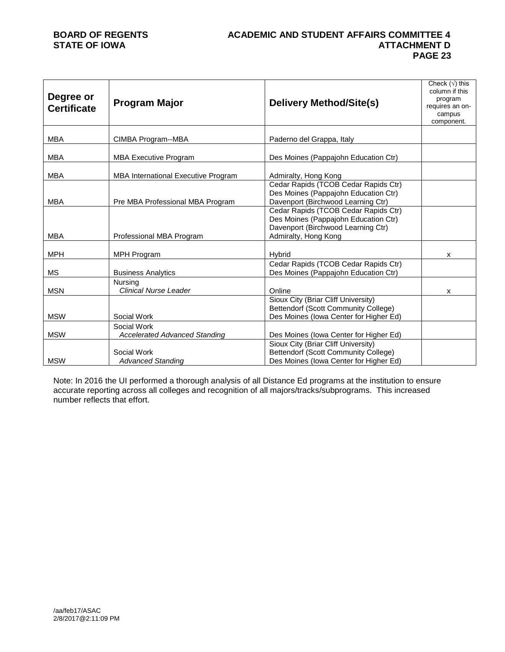## **BOARD OF REGENTS ACADEMIC AND STUDENT AFFAIRS COMMITTEE 4 PAGE 23**

| Degree or<br><b>Certificate</b> | <b>Program Major</b>                                | <b>Delivery Method/Site(s)</b>                                                                                        | Check $(\sqrt{})$ this<br>column if this<br>program<br>requires an on-<br>campus<br>component. |
|---------------------------------|-----------------------------------------------------|-----------------------------------------------------------------------------------------------------------------------|------------------------------------------------------------------------------------------------|
| <b>MBA</b>                      | CIMBA Program--MBA                                  | Paderno del Grappa, Italy                                                                                             |                                                                                                |
| <b>MBA</b>                      | <b>MBA Executive Program</b>                        | Des Moines (Pappajohn Education Ctr)                                                                                  |                                                                                                |
| <b>MBA</b>                      | MBA International Executive Program                 | Admiralty, Hong Kong<br>Cedar Rapids (TCOB Cedar Rapids Ctr)                                                          |                                                                                                |
| <b>MBA</b>                      | Pre MBA Professional MBA Program                    | Des Moines (Pappajohn Education Ctr)<br>Davenport (Birchwood Learning Ctr)                                            |                                                                                                |
|                                 |                                                     | Cedar Rapids (TCOB Cedar Rapids Ctr)<br>Des Moines (Pappajohn Education Ctr)<br>Davenport (Birchwood Learning Ctr)    |                                                                                                |
| <b>MBA</b>                      | Professional MBA Program                            | Admiralty, Hong Kong                                                                                                  |                                                                                                |
| <b>MPH</b>                      | MPH Program                                         | <b>Hybrid</b>                                                                                                         | x                                                                                              |
| <b>MS</b>                       | <b>Business Analytics</b>                           | Cedar Rapids (TCOB Cedar Rapids Ctr)<br>Des Moines (Pappajohn Education Ctr)                                          |                                                                                                |
| <b>MSN</b>                      | <b>Nursing</b><br><b>Clinical Nurse Leader</b>      | Online                                                                                                                | X                                                                                              |
| <b>MSW</b>                      | Social Work                                         | Sioux City (Briar Cliff University)<br>Bettendorf (Scott Community College)<br>Des Moines (Iowa Center for Higher Ed) |                                                                                                |
| <b>MSW</b>                      | Social Work<br><b>Accelerated Advanced Standing</b> | Des Moines (Iowa Center for Higher Ed)                                                                                |                                                                                                |
| <b>MSW</b>                      | Social Work<br><b>Advanced Standing</b>             | Sioux City (Briar Cliff University)<br>Bettendorf (Scott Community College)<br>Des Moines (Iowa Center for Higher Ed) |                                                                                                |

Note: In 2016 the UI performed a thorough analysis of all Distance Ed programs at the institution to ensure accurate reporting across all colleges and recognition of all majors/tracks/subprograms. This increased number reflects that effort.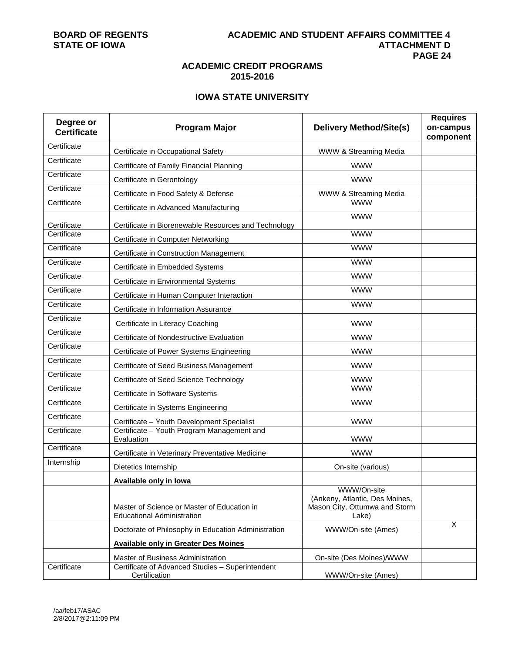## **ACADEMIC CREDIT PROGRAMS 2015-2016**

## **IOWA STATE UNIVERSITY**

| Degree or<br><b>Certificate</b> | <b>Program Major</b>                                                             | <b>Delivery Method/Site(s)</b>                                                          | <b>Requires</b><br>on-campus<br>component |
|---------------------------------|----------------------------------------------------------------------------------|-----------------------------------------------------------------------------------------|-------------------------------------------|
| Certificate                     | Certificate in Occupational Safety                                               | WWW & Streaming Media                                                                   |                                           |
| Certificate                     | Certificate of Family Financial Planning                                         | <b>WWW</b>                                                                              |                                           |
| Certificate                     | Certificate in Gerontology                                                       | <b>WWW</b>                                                                              |                                           |
| Certificate                     | Certificate in Food Safety & Defense                                             | WWW & Streaming Media                                                                   |                                           |
| Certificate                     | Certificate in Advanced Manufacturing                                            | <b>WWW</b>                                                                              |                                           |
| Certificate                     | Certificate in Biorenewable Resources and Technology                             | <b>WWW</b>                                                                              |                                           |
| Certificate                     | Certificate in Computer Networking                                               | <b>WWW</b>                                                                              |                                           |
| Certificate                     | Certificate in Construction Management                                           | <b>WWW</b>                                                                              |                                           |
| Certificate                     | Certificate in Embedded Systems                                                  | <b>WWW</b>                                                                              |                                           |
| Certificate                     | Certificate in Environmental Systems                                             | <b>WWW</b>                                                                              |                                           |
| Certificate                     | Certificate in Human Computer Interaction                                        | <b>WWW</b>                                                                              |                                           |
| Certificate                     | Certificate in Information Assurance                                             | <b>WWW</b>                                                                              |                                           |
| Certificate                     | Certificate in Literacy Coaching                                                 | <b>WWW</b>                                                                              |                                           |
| Certificate                     | Certificate of Nondestructive Evaluation                                         | <b>WWW</b>                                                                              |                                           |
| Certificate                     | Certificate of Power Systems Engineering                                         | <b>WWW</b>                                                                              |                                           |
| Certificate                     | Certificate of Seed Business Management                                          | <b>WWW</b>                                                                              |                                           |
| Certificate                     | Certificate of Seed Science Technology                                           | <b>WWW</b>                                                                              |                                           |
| Certificate                     | Certificate in Software Systems                                                  | <b>WWW</b>                                                                              |                                           |
| Certificate                     | Certificate in Systems Engineering                                               | <b>WWW</b>                                                                              |                                           |
| Certificate                     | Certificate - Youth Development Specialist                                       | <b>WWW</b>                                                                              |                                           |
| Certificate                     | Certificate - Youth Program Management and<br>Evaluation                         | <b>WWW</b>                                                                              |                                           |
| Certificate                     | Certificate in Veterinary Preventative Medicine                                  | <b>WWW</b>                                                                              |                                           |
| Internship                      | Dietetics Internship                                                             | On-site (various)                                                                       |                                           |
|                                 | <b>Available only in lowa</b>                                                    |                                                                                         |                                           |
|                                 | Master of Science or Master of Education in<br><b>Educational Administration</b> | WWW/On-site<br>(Ankeny, Atlantic, Des Moines,<br>Mason City, Ottumwa and Storm<br>Lake) |                                           |
|                                 | Doctorate of Philosophy in Education Administration                              | WWW/On-site (Ames)                                                                      | $\overline{X}$                            |
|                                 | <b>Available only in Greater Des Moines</b>                                      |                                                                                         |                                           |
|                                 | Master of Business Administration                                                | On-site (Des Moines)/WWW                                                                |                                           |
| Certificate                     | Certificate of Advanced Studies - Superintendent<br>Certification                | WWW/On-site (Ames)                                                                      |                                           |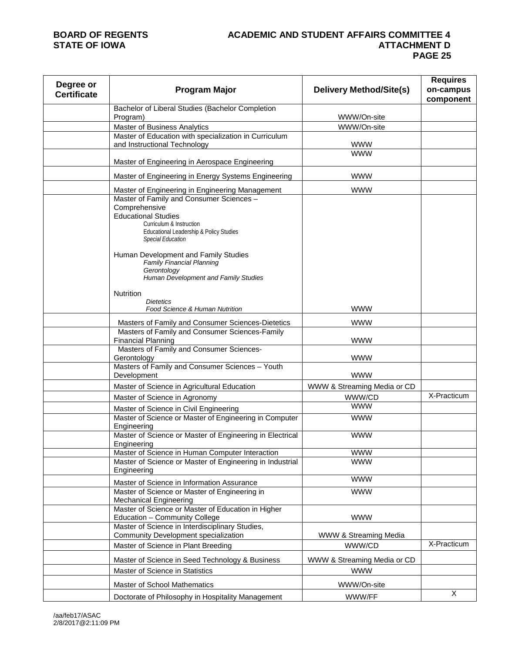## **BOARD OF REGENTS ACADEMIC AND STUDENT AFFAIRS COMMITTEE 4 PAGE 25**

| Degree or<br><b>Certificate</b> | <b>Program Major</b>                                                                                                                                                                                                                          | <b>Delivery Method/Site(s)</b> | <b>Requires</b><br>on-campus<br>component |
|---------------------------------|-----------------------------------------------------------------------------------------------------------------------------------------------------------------------------------------------------------------------------------------------|--------------------------------|-------------------------------------------|
|                                 | Bachelor of Liberal Studies (Bachelor Completion<br>Program)                                                                                                                                                                                  | WWW/On-site                    |                                           |
|                                 | Master of Business Analytics                                                                                                                                                                                                                  | WWW/On-site                    |                                           |
|                                 | Master of Education with specialization in Curriculum                                                                                                                                                                                         |                                |                                           |
|                                 | and Instructional Technology                                                                                                                                                                                                                  | <b>WWW</b>                     |                                           |
|                                 | Master of Engineering in Aerospace Engineering                                                                                                                                                                                                | <b>WWW</b>                     |                                           |
|                                 | Master of Engineering in Energy Systems Engineering                                                                                                                                                                                           | <b>WWW</b>                     |                                           |
|                                 | Master of Engineering in Engineering Management<br>Master of Family and Consumer Sciences -<br>Comprehensive<br><b>Educational Studies</b><br>Curriculum & Instruction<br>Educational Leadership & Policy Studies<br><b>Special Education</b> | <b>WWW</b>                     |                                           |
|                                 | Human Development and Family Studies<br><b>Family Financial Planning</b><br>Gerontology<br>Human Development and Family Studies<br><b>Nutrition</b>                                                                                           |                                |                                           |
|                                 | <b>Dietetics</b><br>Food Science & Human Nutrition                                                                                                                                                                                            | <b>WWW</b>                     |                                           |
|                                 | Masters of Family and Consumer Sciences-Dietetics                                                                                                                                                                                             | <b>WWW</b>                     |                                           |
|                                 | Masters of Family and Consumer Sciences-Family<br><b>Financial Planning</b>                                                                                                                                                                   | <b>WWW</b>                     |                                           |
|                                 | Masters of Family and Consumer Sciences-<br>Gerontology                                                                                                                                                                                       | <b>WWW</b>                     |                                           |
|                                 | Masters of Family and Consumer Sciences - Youth<br>Development                                                                                                                                                                                | <b>WWW</b>                     |                                           |
|                                 | Master of Science in Agricultural Education                                                                                                                                                                                                   | WWW & Streaming Media or CD    |                                           |
|                                 | Master of Science in Agronomy                                                                                                                                                                                                                 | WWW/CD                         | X-Practicum                               |
|                                 | Master of Science in Civil Engineering                                                                                                                                                                                                        | <b>WWW</b>                     |                                           |
|                                 | Master of Science or Master of Engineering in Computer<br>Engineering                                                                                                                                                                         | <b>WWW</b>                     |                                           |
|                                 | Master of Science or Master of Engineering in Electrical<br>Engineering                                                                                                                                                                       | <b>WWW</b>                     |                                           |
|                                 | Master of Science in Human Computer Interaction                                                                                                                                                                                               | <b>WWW</b>                     |                                           |
|                                 | Master of Science or Master of Engineering in Industrial<br>Engineering                                                                                                                                                                       | <b>WWW</b>                     |                                           |
|                                 | Master of Science in Information Assurance                                                                                                                                                                                                    | <b>WWW</b>                     |                                           |
|                                 | Master of Science or Master of Engineering in<br><b>Mechanical Engineering</b>                                                                                                                                                                | <b>WWW</b>                     |                                           |
|                                 | Master of Science or Master of Education in Higher<br>Education - Community College                                                                                                                                                           | <b>WWW</b>                     |                                           |
|                                 | Master of Science in Interdisciplinary Studies,<br>Community Development specialization                                                                                                                                                       | WWW & Streaming Media          |                                           |
|                                 | Master of Science in Plant Breeding                                                                                                                                                                                                           | WWW/CD                         | X-Practicum                               |
|                                 | Master of Science in Seed Technology & Business                                                                                                                                                                                               | WWW & Streaming Media or CD    |                                           |
|                                 | Master of Science in Statistics                                                                                                                                                                                                               | <b>WWW</b>                     |                                           |
|                                 | <b>Master of School Mathematics</b>                                                                                                                                                                                                           | WWW/On-site                    |                                           |
|                                 | Doctorate of Philosophy in Hospitality Management                                                                                                                                                                                             | WWW/FF                         | X                                         |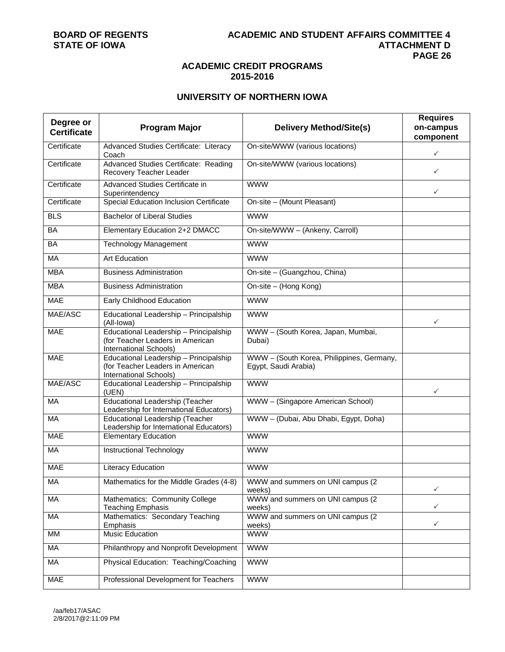### **ACADEMIC CREDIT PROGRAMS 2015-2016**

### **UNIVERSITY OF NORTHERN IOWA**

| Degree or          | <b>Program Major</b>                                                                                 | <b>Delivery Method/Site(s)</b>                                    | <b>Requires</b><br>on-campus |
|--------------------|------------------------------------------------------------------------------------------------------|-------------------------------------------------------------------|------------------------------|
| <b>Certificate</b> |                                                                                                      |                                                                   | component                    |
| Certificate        | Advanced Studies Certificate: Literacy<br>Coach                                                      | On-site/WWW (various locations)                                   | $\checkmark$                 |
| Certificate        | Advanced Studies Certificate: Reading<br>Recovery Teacher Leader                                     | On-site/WWW (various locations)                                   | ✓                            |
| Certificate        | Advanced Studies Certificate in<br>Superintendency                                                   | <b>WWW</b>                                                        | $\checkmark$                 |
| Certificate        | Special Education Inclusion Certificate                                                              | On-site - (Mount Pleasant)                                        |                              |
| BLS                | <b>Bachelor of Liberal Studies</b>                                                                   | <b>WWW</b>                                                        |                              |
| BA                 | Elementary Education 2+2 DMACC                                                                       | On-site/WWW - (Ankeny, Carroll)                                   |                              |
| <b>BA</b>          | <b>Technology Management</b>                                                                         | <b>WWW</b>                                                        |                              |
| MA                 | <b>Art Education</b>                                                                                 | <b>WWW</b>                                                        |                              |
| <b>MBA</b>         | <b>Business Administration</b>                                                                       | On-site - (Guangzhou, China)                                      |                              |
| <b>MBA</b>         | <b>Business Administration</b>                                                                       | On-site - (Hong Kong)                                             |                              |
| <b>MAE</b>         | Early Childhood Education                                                                            | <b>WWW</b>                                                        |                              |
| MAE/ASC            | Educational Leadership - Principalship<br>(All-Iowa)                                                 | <b>WWW</b>                                                        | ✓                            |
| <b>MAE</b>         | Educational Leadership - Principalship<br>(for Teacher Leaders in American<br>International Schools) | WWW - (South Korea, Japan, Mumbai,<br>Dubai)                      |                              |
| <b>MAE</b>         | Educational Leadership - Principalship<br>(for Teacher Leaders in American<br>International Schools) | WWW - (South Korea, Philippines, Germany,<br>Egypt, Saudi Arabia) |                              |
| MAE/ASC            | Educational Leadership - Principalship<br>(UEN)                                                      | <b>WWW</b>                                                        | ✓                            |
| MA                 | Educational Leadership (Teacher<br>Leadership for International Educators)                           | WWW - (Singapore American School)                                 |                              |
| MA                 | <b>Educational Leadership (Teacher</b><br>Leadership for International Educators)                    | WWW - (Dubai, Abu Dhabi, Egypt, Doha)                             |                              |
| <b>MAE</b>         | <b>Elementary Education</b>                                                                          | <b>WWW</b>                                                        |                              |
| MA                 | Instructional Technology                                                                             | <b>WWW</b>                                                        |                              |
| <b>MAE</b>         | Literacy Education                                                                                   | <b>WWW</b>                                                        |                              |
| MA                 | Mathematics for the Middle Grades (4-8)                                                              | WWW and summers on UNI campus (2<br>weeks)                        | ✓                            |
| МA                 | Mathematics: Community College<br><b>Teaching Emphasis</b>                                           | WWW and summers on UNI campus (2)<br>weeks)                       | $\checkmark$                 |
| MA                 | Mathematics: Secondary Teaching<br>Emphasis                                                          | WWW and summers on UNI campus (2)<br>weeks)                       | $\checkmark$                 |
| MM                 | Music Education                                                                                      | <b>WWW</b>                                                        |                              |
| МA                 | Philanthropy and Nonprofit Development                                                               | <b>WWW</b>                                                        |                              |
| MA                 | Physical Education: Teaching/Coaching                                                                | <b>WWW</b>                                                        |                              |
| <b>MAE</b>         | Professional Development for Teachers                                                                | <b>WWW</b>                                                        |                              |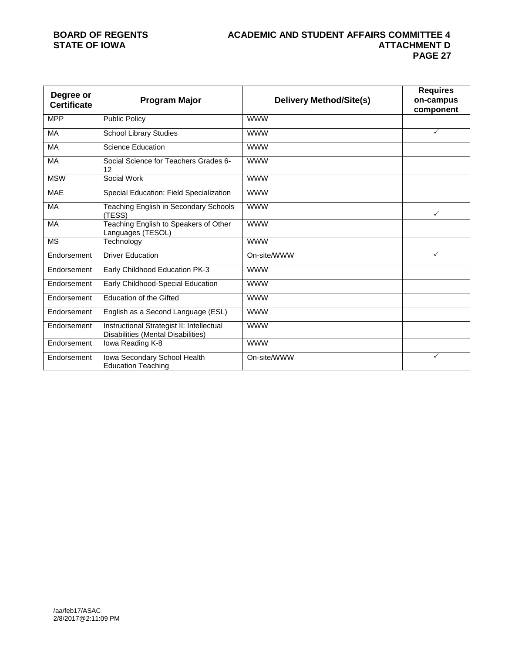### **BOARD OF REGENTS ACADEMIC AND STUDENT AFFAIRS COMMITTEE 4 ATTACHMENT D PAGE 27**

| Degree or<br><b>Certificate</b> | <b>Program Major</b>                                                            | <b>Delivery Method/Site(s)</b> | <b>Requires</b><br>on-campus<br>component |
|---------------------------------|---------------------------------------------------------------------------------|--------------------------------|-------------------------------------------|
| <b>MPP</b>                      | <b>Public Policy</b>                                                            | <b>WWW</b>                     |                                           |
| MA                              | <b>School Library Studies</b>                                                   | <b>WWW</b>                     | ✓                                         |
| MA                              | <b>Science Education</b>                                                        | <b>WWW</b>                     |                                           |
| MA                              | Social Science for Teachers Grades 6-<br>12                                     | <b>WWW</b>                     |                                           |
| <b>MSW</b>                      | Social Work                                                                     | <b>WWW</b>                     |                                           |
| <b>MAE</b>                      | Special Education: Field Specialization                                         | <b>WWW</b>                     |                                           |
| <b>MA</b>                       | Teaching English in Secondary Schools<br>(TESS)                                 | <b>WWW</b>                     | $\checkmark$                              |
| <b>MA</b>                       | Teaching English to Speakers of Other<br>Languages (TESOL)                      | <b>WWW</b>                     |                                           |
| <b>MS</b>                       | Technology                                                                      | <b>WWW</b>                     |                                           |
| Endorsement                     | <b>Driver Education</b>                                                         | On-site/WWW                    | ✓                                         |
| Endorsement                     | Early Childhood Education PK-3                                                  | <b>WWW</b>                     |                                           |
| Endorsement                     | Early Childhood-Special Education                                               | <b>WWW</b>                     |                                           |
| Endorsement                     | <b>Education of the Gifted</b>                                                  | <b>WWW</b>                     |                                           |
| Endorsement                     | English as a Second Language (ESL)                                              | <b>WWW</b>                     |                                           |
| Endorsement                     | Instructional Strategist II: Intellectual<br>Disabilities (Mental Disabilities) | <b>WWW</b>                     |                                           |
| Endorsement                     | Iowa Reading K-8                                                                | <b>WWW</b>                     |                                           |
| Endorsement                     | Iowa Secondary School Health<br><b>Education Teaching</b>                       | On-site/WWW                    | ✓                                         |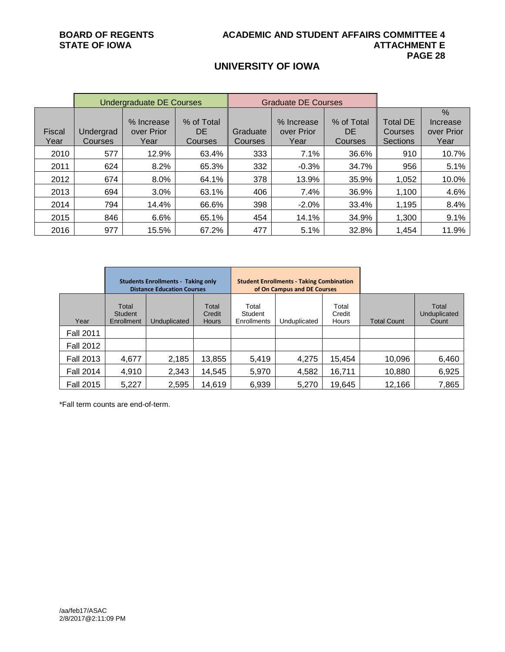## **UNIVERSITY OF IOWA**

|                | <b>Undergraduate DE Courses</b> |                                  |                             |                            | <b>Graduate DE Courses</b>       |                              |                                               |                                        |
|----------------|---------------------------------|----------------------------------|-----------------------------|----------------------------|----------------------------------|------------------------------|-----------------------------------------------|----------------------------------------|
| Fiscal<br>Year | Undergrad<br>Courses            | % Increase<br>over Prior<br>Year | % of Total<br>DE<br>Courses | Graduate<br><b>Courses</b> | % Increase<br>over Prior<br>Year | % of Total<br>DE.<br>Courses | <b>Total DE</b><br>Courses<br><b>Sections</b> | $\%$<br>Increase<br>over Prior<br>Year |
| 2010           | 577                             | 12.9%                            | 63.4%                       | 333                        | 7.1%                             | 36.6%                        | 910                                           | 10.7%                                  |
| 2011           | 624                             | 8.2%                             | 65.3%                       | 332                        | $-0.3%$                          | 34.7%                        | 956                                           | 5.1%                                   |
| 2012           | 674                             | 8.0%                             | 64.1%                       | 378                        | 13.9%                            | 35.9%                        | 1.052                                         | 10.0%                                  |
| 2013           | 694                             | 3.0%                             | 63.1%                       | 406                        | 7.4%                             | 36.9%                        | 1,100                                         | 4.6%                                   |
| 2014           | 794                             | 14.4%                            | 66.6%                       | 398                        | $-2.0%$                          | 33.4%                        | 1,195                                         | 8.4%                                   |
| 2015           | 846                             | 6.6%                             | 65.1%                       | 454                        | 14.1%                            | 34.9%                        | 1,300                                         | 9.1%                                   |
| 2016           | 977                             | 15.5%                            | 67.2%                       | 477                        | 5.1%                             | 32.8%                        | 1,454                                         | 11.9%                                  |

|                  | <b>Students Enrollments - Taking only</b><br><b>Distance Education Courses</b> |              |                                 | <b>Student Enrollments - Taking Combination</b><br>of On Campus and DE Courses |              |                          |                    |                                |
|------------------|--------------------------------------------------------------------------------|--------------|---------------------------------|--------------------------------------------------------------------------------|--------------|--------------------------|--------------------|--------------------------------|
| Year             | Total<br>Student<br>Enrollment                                                 | Unduplicated | Total<br>Credit<br><b>Hours</b> | Total<br>Student<br>Enrollments                                                | Unduplicated | Total<br>Credit<br>Hours | <b>Total Count</b> | Total<br>Unduplicated<br>Count |
| <b>Fall 2011</b> |                                                                                |              |                                 |                                                                                |              |                          |                    |                                |
| <b>Fall 2012</b> |                                                                                |              |                                 |                                                                                |              |                          |                    |                                |
| <b>Fall 2013</b> | 4,677                                                                          | 2,185        | 13,855                          | 5,419                                                                          | 4,275        | 15,454                   | 10,096             | 6,460                          |
| <b>Fall 2014</b> | 4,910                                                                          | 2,343        | 14,545                          | 5,970                                                                          | 4,582        | 16,711                   | 10,880             | 6,925                          |
| <b>Fall 2015</b> | 5,227                                                                          | 2,595        | 14,619                          | 6,939                                                                          | 5,270        | 19,645                   | 12,166             | 7,865                          |

\*Fall term counts are end-of-term.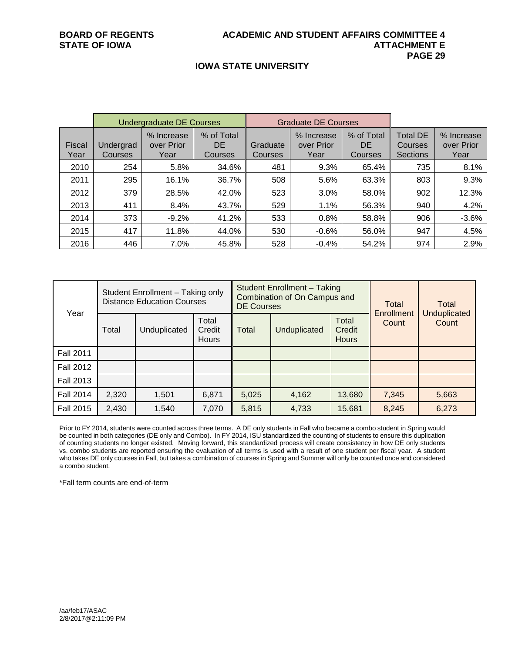### **IOWA STATE UNIVERSITY**

|                       | <b>Undergraduate DE Courses</b> |                                  |                              |                     | <b>Graduate DE Courses</b>       |                              |                                        |                                  |
|-----------------------|---------------------------------|----------------------------------|------------------------------|---------------------|----------------------------------|------------------------------|----------------------------------------|----------------------------------|
| <b>Fiscal</b><br>Year | Undergrad<br>Courses            | % Increase<br>over Prior<br>Year | % of Total<br>DE.<br>Courses | Graduate<br>Courses | % Increase<br>over Prior<br>Year | % of Total<br>DE.<br>Courses | <b>Total DE</b><br>Courses<br>Sections | % Increase<br>over Prior<br>Year |
| 2010                  | 254                             | 5.8%                             | 34.6%                        | 481                 | 9.3%                             | 65.4%                        | 735                                    | 8.1%                             |
| 2011                  | 295                             | 16.1%                            | 36.7%                        | 508                 | 5.6%                             | 63.3%                        | 803                                    | 9.3%                             |
| 2012                  | 379                             | 28.5%                            | 42.0%                        | 523                 | 3.0%                             | 58.0%                        | 902                                    | 12.3%                            |
| 2013                  | 411                             | 8.4%                             | 43.7%                        | 529                 | 1.1%                             | 56.3%                        | 940                                    | 4.2%                             |
| 2014                  | 373                             | $-9.2%$                          | 41.2%                        | 533                 | 0.8%                             | 58.8%                        | 906                                    | $-3.6%$                          |
| 2015                  | 417                             | 11.8%                            | 44.0%                        | 530                 | $-0.6%$                          | 56.0%                        | 947                                    | 4.5%                             |
| 2016                  | 446                             | $7.0\%$                          | 45.8%                        | 528                 | $-0.4%$                          | 54.2%                        | 974                                    | 2.9%                             |

|                  | Student Enrollment - Taking only<br><b>Distance Education Courses</b> |              |                                 | <b>Student Enrollment - Taking</b><br>Combination of On Campus and<br><b>DE Courses</b> |              |                                 | Total<br>Enrollment | Total                        |
|------------------|-----------------------------------------------------------------------|--------------|---------------------------------|-----------------------------------------------------------------------------------------|--------------|---------------------------------|---------------------|------------------------------|
| Year             | Total                                                                 | Unduplicated | Total<br>Credit<br><b>Hours</b> | Total                                                                                   | Unduplicated | Total<br>Credit<br><b>Hours</b> | Count               | <b>Unduplicated</b><br>Count |
| <b>Fall 2011</b> |                                                                       |              |                                 |                                                                                         |              |                                 |                     |                              |
| <b>Fall 2012</b> |                                                                       |              |                                 |                                                                                         |              |                                 |                     |                              |
| <b>Fall 2013</b> |                                                                       |              |                                 |                                                                                         |              |                                 |                     |                              |
| <b>Fall 2014</b> | 2,320                                                                 | 1,501        | 6,871                           | 5,025                                                                                   | 4,162        | 13,680                          | 7,345               | 5,663                        |
| <b>Fall 2015</b> | 2,430                                                                 | 1,540        | 7,070                           | 5,815                                                                                   | 4,733        | 15,681                          | 8,245               | 6,273                        |

Prior to FY 2014, students were counted across three terms. A DE only students in Fall who became a combo student in Spring would be counted in both categories (DE only and Combo). In FY 2014, ISU standardized the counting of students to ensure this duplication of counting students no longer existed. Moving forward, this standardized process will create consistency in how DE only students vs. combo students are reported ensuring the evaluation of all terms is used with a result of one student per fiscal year. A student who takes DE only courses in Fall, but takes a combination of courses in Spring and Summer will only be counted once and considered a combo student.

\*Fall term counts are end-of-term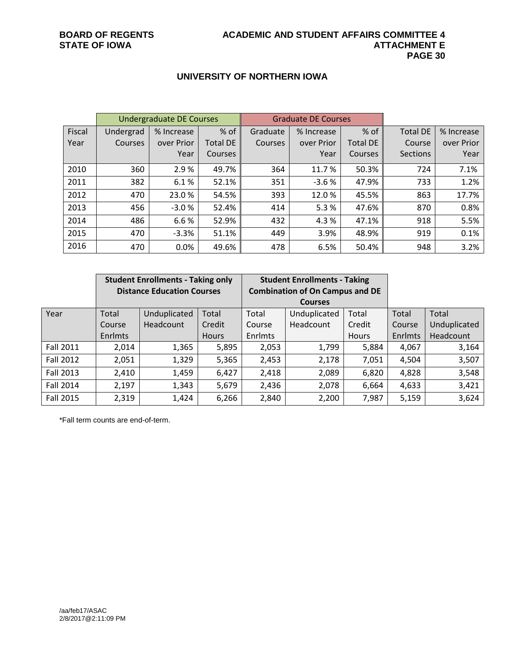### **UNIVERSITY OF NORTHERN IOWA**

|        | <b>Undergraduate DE Courses</b> |            |                 | <b>Graduate DE Courses</b> |            |                 |                 |            |
|--------|---------------------------------|------------|-----------------|----------------------------|------------|-----------------|-----------------|------------|
| Fiscal | Undergrad                       | % Increase | % of            | Graduate                   | % Increase | % of            | <b>Total DE</b> | % Increase |
| Year   | Courses                         | over Prior | <b>Total DE</b> | Courses                    | over Prior | <b>Total DE</b> | Course          | over Prior |
|        |                                 | Year       | Courses         |                            | Year       | <b>Courses</b>  | <b>Sections</b> | Year       |
| 2010   | 360                             | 2.9%       | 49.7%           | 364                        | 11.7%      | 50.3%           | 724             | 7.1%       |
| 2011   | 382                             | 6.1%       | 52.1%           | 351                        | $-3.6%$    | 47.9%           | 733             | 1.2%       |
| 2012   | 470                             | 23.0%      | 54.5%           | 393                        | 12.0%      | 45.5%           | 863             | 17.7%      |
| 2013   | 456                             | $-3.0%$    | 52.4%           | 414                        | 5.3%       | 47.6%           | 870             | 0.8%       |
| 2014   | 486                             | 6.6%       | 52.9%           | 432                        | 4.3%       | 47.1%           | 918             | 5.5%       |
| 2015   | 470                             | $-3.3%$    | 51.1%           | 449                        | 3.9%       | 48.9%           | 919             | 0.1%       |
| 2016   | 470                             | 0.0%       | 49.6%           | 478                        | 6.5%       | 50.4%           | 948             | 3.2%       |

|           | <b>Student Enrollments - Taking only</b> |              |              | <b>Student Enrollments - Taking</b>    |                |              |         |              |
|-----------|------------------------------------------|--------------|--------------|----------------------------------------|----------------|--------------|---------|--------------|
|           | <b>Distance Education Courses</b>        |              |              | <b>Combination of On Campus and DE</b> |                |              |         |              |
|           |                                          |              |              |                                        | <b>Courses</b> |              |         |              |
| Year      | Total                                    | Unduplicated | Total        | Total                                  | Unduplicated   | Total        | Total   | Total        |
|           | Course                                   | Headcount    | Credit       | Course                                 | Headcount      | Credit       | Course  | Unduplicated |
|           | <b>Enrlmts</b>                           |              | <b>Hours</b> | Enrlmts                                |                | <b>Hours</b> | Enrlmts | Headcount    |
| Fall 2011 | 2,014                                    | 1,365        | 5,895        | 2,053                                  | 1,799          | 5,884        | 4,067   | 3,164        |
| Fall 2012 | 2,051                                    | 1,329        | 5,365        | 2,453                                  | 2,178          | 7,051        | 4,504   | 3,507        |
| Fall 2013 | 2,410                                    | 1,459        | 6,427        | 2,418                                  | 2,089          | 6,820        | 4,828   | 3,548        |
| Fall 2014 | 2,197                                    | 1,343        | 5,679        | 2,436                                  | 2,078          | 6,664        | 4,633   | 3,421        |
| Fall 2015 | 2,319                                    | 1,424        | 6,266        | 2,840                                  | 2,200          | 7,987        | 5,159   | 3,624        |

\*Fall term counts are end-of-term.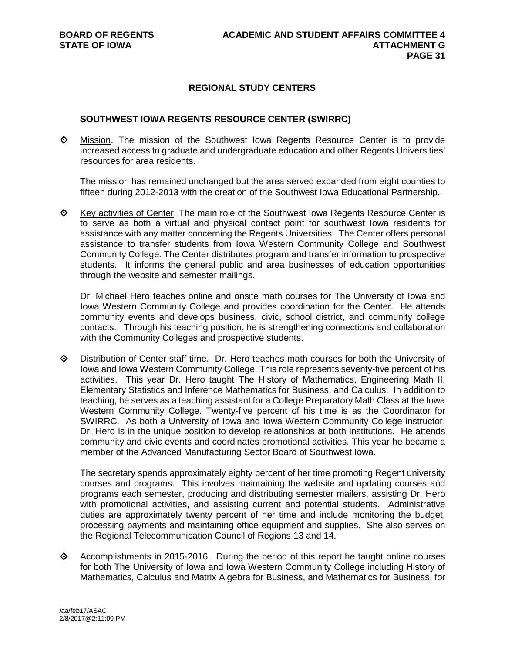### **REGIONAL STUDY CENTERS**

### **SOUTHWEST IOWA REGENTS RESOURCE CENTER (SWIRRC)**

 Mission. The mission of the Southwest Iowa Regents Resource Center is to provide increased access to graduate and undergraduate education and other Regents Universities' resources for area residents.

The mission has remained unchanged but the area served expanded from eight counties to fifteen during 2012-2013 with the creation of the Southwest Iowa Educational Partnership.

 $\diamond$  Key activities of Center. The main role of the Southwest Iowa Regents Resource Center is to serve as both a virtual and physical contact point for southwest Iowa residents for assistance with any matter concerning the Regents Universities. The Center offers personal assistance to transfer students from Iowa Western Community College and Southwest Community College. The Center distributes program and transfer information to prospective students. It informs the general public and area businesses of education opportunities through the website and semester mailings.

Dr. Michael Hero teaches online and onsite math courses for The University of Iowa and Iowa Western Community College and provides coordination for the Center. He attends community events and develops business, civic, school district, and community college contacts. Through his teaching position, he is strengthening connections and collaboration with the Community Colleges and prospective students.

 Distribution of Center staff time. Dr. Hero teaches math courses for both the University of Iowa and Iowa Western Community College. This role represents seventy-five percent of his activities. This year Dr. Hero taught The History of Mathematics, Engineering Math II, Elementary Statistics and Inference Mathematics for Business, and Calculus. In addition to teaching, he serves as a teaching assistant for a College Preparatory Math Class at the Iowa Western Community College. Twenty-five percent of his time is as the Coordinator for SWIRRC. As both a University of Iowa and Iowa Western Community College instructor, Dr. Hero is in the unique position to develop relationships at both institutions. He attends community and civic events and coordinates promotional activities. This year he became a member of the Advanced Manufacturing Sector Board of Southwest Iowa.

The secretary spends approximately eighty percent of her time promoting Regent university courses and programs. This involves maintaining the website and updating courses and programs each semester, producing and distributing semester mailers, assisting Dr. Hero with promotional activities, and assisting current and potential students. Administrative duties are approximately twenty percent of her time and include monitoring the budget, processing payments and maintaining office equipment and supplies. She also serves on the Regional Telecommunication Council of Regions 13 and 14.

 $\Diamond$  Accomplishments in 2015-2016. During the period of this report he taught online courses for both The University of Iowa and Iowa Western Community College including History of Mathematics, Calculus and Matrix Algebra for Business, and Mathematics for Business, for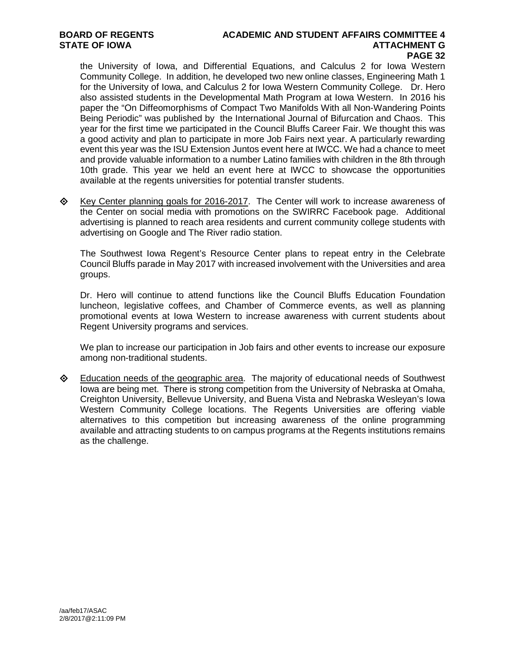## **BOARD OF REGENTS ACADEMIC AND STUDENT AFFAIRS COMMITTEE 4 PAGE 32**

the University of Iowa, and Differential Equations, and Calculus 2 for Iowa Western Community College. In addition, he developed two new online classes, Engineering Math 1 for the University of Iowa, and Calculus 2 for Iowa Western Community College. Dr. Hero also assisted students in the Developmental Math Program at Iowa Western. In 2016 his paper the "On Diffeomorphisms of Compact Two Manifolds With all Non-Wandering Points Being Periodic" was published by the International Journal of Bifurcation and Chaos. This year for the first time we participated in the Council Bluffs Career Fair. We thought this was a good activity and plan to participate in more Job Fairs next year. A particularly rewarding event this year was the ISU Extension Juntos event here at IWCC. We had a chance to meet and provide valuable information to a number Latino families with children in the 8th through 10th grade. This year we held an event here at IWCC to showcase the opportunities available at the regents universities for potential transfer students.

 $\diamond$  Key Center planning goals for 2016-2017. The Center will work to increase awareness of the Center on social media with promotions on the SWIRRC Facebook page. Additional advertising is planned to reach area residents and current community college students with advertising on Google and The River radio station.

The Southwest Iowa Regent's Resource Center plans to repeat entry in the Celebrate Council Bluffs parade in May 2017 with increased involvement with the Universities and area groups.

Dr. Hero will continue to attend functions like the Council Bluffs Education Foundation luncheon, legislative coffees, and Chamber of Commerce events, as well as planning promotional events at Iowa Western to increase awareness with current students about Regent University programs and services.

We plan to increase our participation in Job fairs and other events to increase our exposure among non-traditional students.

**Education needs of the geographic area.** The majority of educational needs of Southwest Iowa are being met. There is strong competition from the University of Nebraska at Omaha, Creighton University, Bellevue University, and Buena Vista and Nebraska Wesleyan's Iowa Western Community College locations. The Regents Universities are offering viable alternatives to this competition but increasing awareness of the online programming available and attracting students to on campus programs at the Regents institutions remains as the challenge.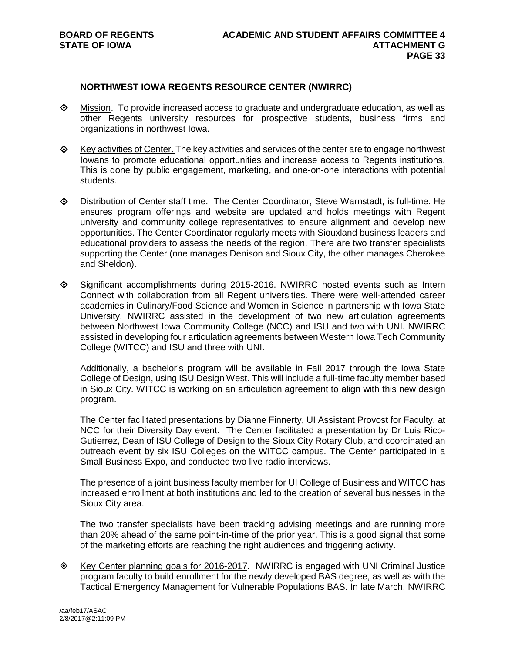### **NORTHWEST IOWA REGENTS RESOURCE CENTER (NWIRRC)**

- $\diamond$  Mission. To provide increased access to graduate and undergraduate education, as well as other Regents university resources for prospective students, business firms and organizations in northwest Iowa.
- $\diamond$  Key activities of Center. The key activities and services of the center are to engage northwest Iowans to promote educational opportunities and increase access to Regents institutions. This is done by public engagement, marketing, and one-on-one interactions with potential students.
- Distribution of Center staff time. The Center Coordinator, Steve Warnstadt, is full-time. He ensures program offerings and website are updated and holds meetings with Regent university and community college representatives to ensure alignment and develop new opportunities. The Center Coordinator regularly meets with Siouxland business leaders and educational providers to assess the needs of the region. There are two transfer specialists supporting the Center (one manages Denison and Sioux City, the other manages Cherokee and Sheldon).
- $\Diamond$  Significant accomplishments during 2015-2016. NWIRRC hosted events such as Intern Connect with collaboration from all Regent universities. There were well-attended career academies in Culinary/Food Science and Women in Science in partnership with Iowa State University. NWIRRC assisted in the development of two new articulation agreements between Northwest Iowa Community College (NCC) and ISU and two with UNI. NWIRRC assisted in developing four articulation agreements between Western Iowa Tech Community College (WITCC) and ISU and three with UNI.

Additionally, a bachelor's program will be available in Fall 2017 through the Iowa State College of Design, using ISU Design West. This will include a full-time faculty member based in Sioux City. WITCC is working on an articulation agreement to align with this new design program.

The Center facilitated presentations by Dianne Finnerty, UI Assistant Provost for Faculty, at NCC for their Diversity Day event. The Center facilitated a presentation by Dr Luis Rico-Gutierrez, Dean of ISU College of Design to the Sioux City Rotary Club, and coordinated an outreach event by six ISU Colleges on the WITCC campus. The Center participated in a Small Business Expo, and conducted two live radio interviews.

The presence of a joint business faculty member for UI College of Business and WITCC has increased enrollment at both institutions and led to the creation of several businesses in the Sioux City area.

The two transfer specialists have been tracking advising meetings and are running more than 20% ahead of the same point-in-time of the prior year. This is a good signal that some of the marketing efforts are reaching the right audiences and triggering activity.

 Key Center planning goals for 2016-2017. NWIRRC is engaged with UNI Criminal Justice program faculty to build enrollment for the newly developed BAS degree, as well as with the Tactical Emergency Management for Vulnerable Populations BAS. In late March, NWIRRC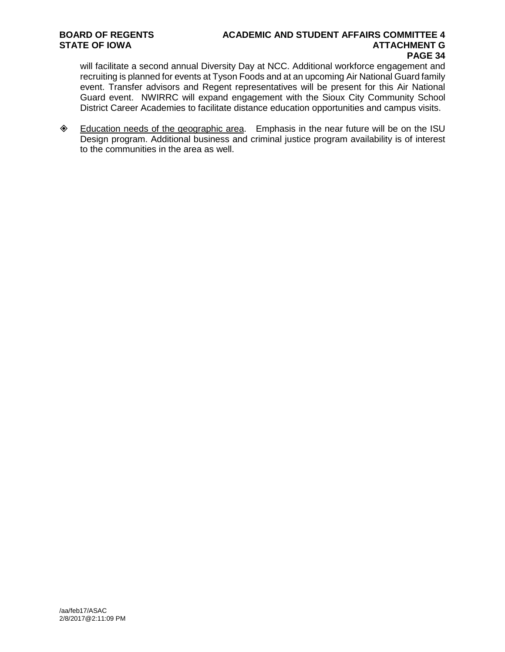## **BOARD OF REGENTS ACADEMIC AND STUDENT AFFAIRS COMMITTEE 4 PAGE 34**

will facilitate a second annual Diversity Day at NCC. Additional workforce engagement and recruiting is planned for events at Tyson Foods and at an upcoming Air National Guard family event. Transfer advisors and Regent representatives will be present for this Air National Guard event. NWIRRC will expand engagement with the Sioux City Community School District Career Academies to facilitate distance education opportunities and campus visits.

 Education needs of the geographic area. Emphasis in the near future will be on the ISU Design program. Additional business and criminal justice program availability is of interest to the communities in the area as well.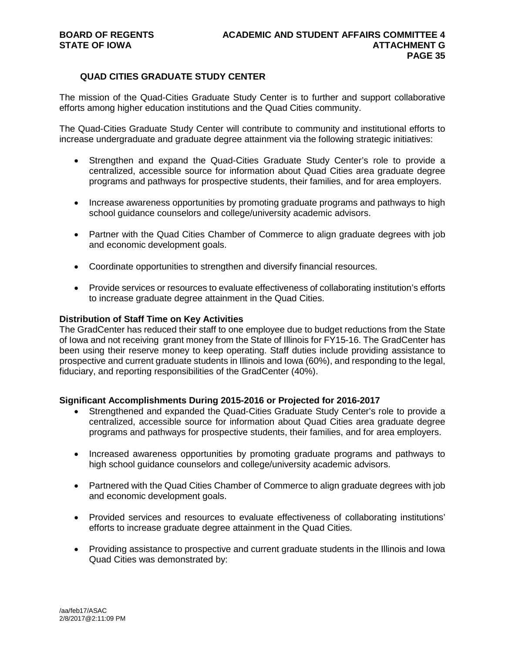### **QUAD CITIES GRADUATE STUDY CENTER**

The mission of the Quad-Cities Graduate Study Center is to further and support collaborative efforts among higher education institutions and the Quad Cities community.

The Quad-Cities Graduate Study Center will contribute to community and institutional efforts to increase undergraduate and graduate degree attainment via the following strategic initiatives:

- Strengthen and expand the Quad-Cities Graduate Study Center's role to provide a centralized, accessible source for information about Quad Cities area graduate degree programs and pathways for prospective students, their families, and for area employers.
- Increase awareness opportunities by promoting graduate programs and pathways to high school guidance counselors and college/university academic advisors.
- Partner with the Quad Cities Chamber of Commerce to align graduate degrees with job and economic development goals.
- Coordinate opportunities to strengthen and diversify financial resources.
- Provide services or resources to evaluate effectiveness of collaborating institution's efforts to increase graduate degree attainment in the Quad Cities.

### **Distribution of Staff Time on Key Activities**

The GradCenter has reduced their staff to one employee due to budget reductions from the State of Iowa and not receiving grant money from the State of Illinois for FY15-16. The GradCenter has been using their reserve money to keep operating. Staff duties include providing assistance to prospective and current graduate students in Illinois and Iowa (60%), and responding to the legal, fiduciary, and reporting responsibilities of the GradCenter (40%).

### **Significant Accomplishments During 2015-2016 or Projected for 2016-2017**

- Strengthened and expanded the Quad-Cities Graduate Study Center's role to provide a centralized, accessible source for information about Quad Cities area graduate degree programs and pathways for prospective students, their families, and for area employers.
- Increased awareness opportunities by promoting graduate programs and pathways to high school guidance counselors and college/university academic advisors.
- Partnered with the Quad Cities Chamber of Commerce to align graduate degrees with job and economic development goals.
- Provided services and resources to evaluate effectiveness of collaborating institutions' efforts to increase graduate degree attainment in the Quad Cities.
- Providing assistance to prospective and current graduate students in the Illinois and Iowa Quad Cities was demonstrated by: